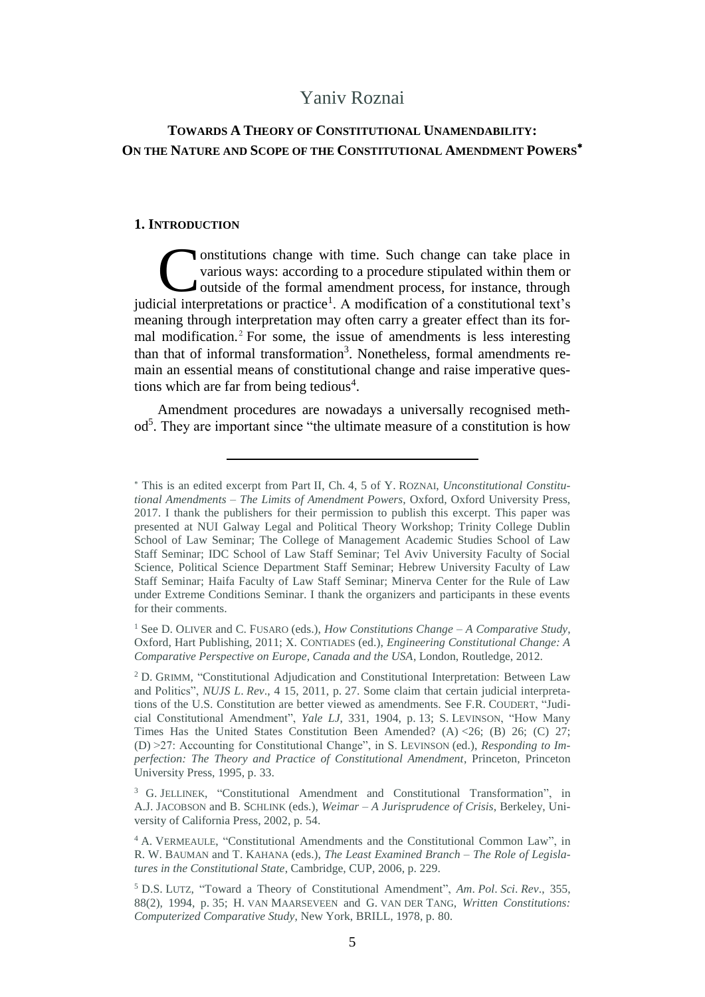# Yaniv Roznai

# **TOWARDS A THEORY OF CONSTITUTIONAL UNAMENDABILITY: ON THE NATURE AND SCOPE OF THE CONSTITUTIONAL AMENDMENT POWERS**

### **1. INTRODUCTION**

onstitutions change with time. Such change can take place in various ways: according to a procedure stipulated within them or outside of the formal amendment process, for instance, through **Solutions** change with time. Such change can take place in various ways: according to a procedure stipulated within them or outside of the formal amendment process, for instance, through judicial interpretations or practi meaning through interpretation may often carry a greater effect than its formal modification.<sup>2</sup> For some, the issue of amendments is less interesting than that of informal transformation<sup>3</sup>. Nonetheless, formal amendments remain an essential means of constitutional change and raise imperative questions which are far from being tedious<sup>4</sup>.

Amendment procedures are nowadays a universally recognised method<sup>5</sup>. They are important since "the ultimate measure of a constitution is how

This is an edited excerpt from Part II, Ch. 4, 5 of Y. ROZNAI, *Unconstitutional Constitutional Amendments – The Limits of Amendment Powers*, Oxford, Oxford University Press, 2017. I thank the publishers for their permission to publish this excerpt. This paper was presented at NUI Galway Legal and Political Theory Workshop; Trinity College Dublin School of Law Seminar; The College of Management Academic Studies School of Law Staff Seminar; IDC School of Law Staff Seminar; Tel Aviv University Faculty of Social Science, Political Science Department Staff Seminar; Hebrew University Faculty of Law Staff Seminar; Haifa Faculty of Law Staff Seminar; Minerva Center for the Rule of Law under Extreme Conditions Seminar. I thank the organizers and participants in these events for their comments.

<sup>1</sup> See D. OLIVER and C. FUSARO (eds.), *How Constitutions Change – A Comparative Study*, Oxford, Hart Publishing, 2011; X. CONTIADES (ed.), *Engineering Constitutional Change: A Comparative Perspective on Europe, Canada and the USA*, London, Routledge, 2012.

<sup>2</sup> D. GRIMM, "Constitutional Adjudication and Constitutional Interpretation: Between Law and Politics", *NUJS L*. *Rev*., 4 15, 2011, p. 27. Some claim that certain judicial interpretations of the U.S. Constitution are better viewed as amendments. See F.R. COUDERT, "Judicial Constitutional Amendment", *Yale LJ*, 331, 1904, p. 13; S. LEVINSON, "How Many Times Has the United States Constitution Been Amended? (A) <26; (B) 26; (C) 27; (D) >27: Accounting for Constitutional Change", in S. LEVINSON (ed.), *Responding to Imperfection: The Theory and Practice of Constitutional Amendment*, Princeton, Princeton University Press, 1995, p. 33.

<sup>3</sup> G. JELLINEK, "Constitutional Amendment and Constitutional Transformation", in A.J. JACOBSON and B. SCHLINK (eds.), *Weimar – A Jurisprudence of Crisis*, Berkeley, University of California Press, 2002, p. 54.

<sup>4</sup> A. VERMEAULE, "Constitutional Amendments and the Constitutional Common Law", in R. W. BAUMAN and T. KAHANA (eds.), *The Least Examined Branch – The Role of Legislatures in the Constitutional State*, Cambridge, CUP, 2006, p. 229.

<sup>5</sup> D.S. LUTZ, "Toward a Theory of Constitutional Amendment", *Am*. *Pol*. *Sci*. *Rev*., 355, 88(2), 1994, p. 35; H. VAN MAARSEVEEN and G. VAN DER TANG, *Written Constitutions: Computerized Comparative Study*, New York, BRILL, 1978, p. 80.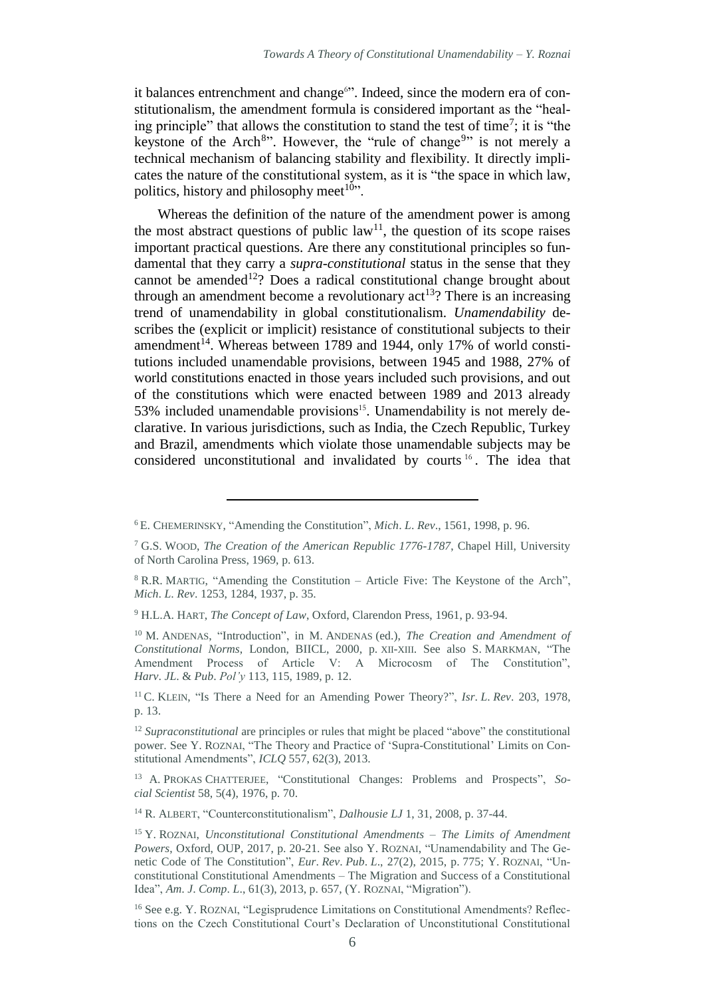it balances entrenchment and change<sup>6</sup>". Indeed, since the modern era of constitutionalism, the amendment formula is considered important as the "healing principle" that allows the constitution to stand the test of time<sup>7</sup>; it is "the keystone of the Arch<sup>8</sup>". However, the "rule of change<sup>9</sup>" is not merely a technical mechanism of balancing stability and flexibility. It directly implicates the nature of the constitutional system, as it is "the space in which law, politics, history and philosophy meet $10$ ".

Whereas the definition of the nature of the amendment power is among the most abstract questions of public  $law^{11}$ , the question of its scope raises important practical questions. Are there any constitutional principles so fundamental that they carry a *supra-constitutional* status in the sense that they cannot be amended<sup>12</sup>? Does a radical constitutional change brought about through an amendment become a revolutionary  $act^{13}$ ? There is an increasing trend of unamendability in global constitutionalism. *Unamendability* describes the (explicit or implicit) resistance of constitutional subjects to their amendment<sup>14</sup>. Whereas between 1789 and 1944, only 17% of world constitutions included unamendable provisions, between 1945 and 1988, 27% of world constitutions enacted in those years included such provisions, and out of the constitutions which were enacted between 1989 and 2013 already 53% included unamendable provisions<sup>15</sup>. Unamendability is not merely declarative. In various jurisdictions, such as India, the Czech Republic, Turkey and Brazil, amendments which violate those unamendable subjects may be considered unconstitutional and invalidated by courts <sup>16</sup> . The idea that

<sup>6</sup> E. CHEMERINSKY, "Amending the Constitution", *Mich*. *L*. *Rev*., 1561, 1998, p. 96.

<sup>7</sup> G.S. WOOD, *The Creation of the American Republic 1776-1787*, Chapel Hill, University of North Carolina Press, 1969, p. 613.

<sup>8</sup> R.R. MARTIG, "Amending the Constitution – Article Five: The Keystone of the Arch", *Mich*. *L*. *Rev*. 1253, 1284, 1937, p. 35.

<sup>9</sup> H.L.A. HART, *The Concept of Law*, Oxford, Clarendon Press, 1961, p. 93-94.

<sup>10</sup> M. ANDENAS, "Introduction", in M. ANDENAS (ed.), *The Creation and Amendment of Constitutional Norms*, London, BIICL, 2000, p. XII-XIII. See also S. MARKMAN, "The Amendment Process of Article V: A Microcosm of The Constitution", *Harv*. *JL*. & *Pub*. *Pol'y* 113, 115, 1989, p. 12.

<sup>11</sup> C. KLEIN, "Is There a Need for an Amending Power Theory?", *Isr*. *L*. *Rev*. 203, 1978, p. 13.

<sup>&</sup>lt;sup>12</sup> Supraconstitutional are principles or rules that might be placed "above" the constitutional power. See Y. ROZNAI, "The Theory and Practice of 'Supra-Constitutional' Limits on Constitutional Amendments", *ICLQ* 557, 62(3), 2013.

<sup>13</sup> A. PROKAS CHATTERJEE, "Constitutional Changes: Problems and Prospects", *Social Scientist* 58, 5(4), 1976, p. 70.

<sup>14</sup> R. ALBERT, "Counterconstitutionalism", *Dalhousie LJ* 1, 31, 2008, p. 37-44.

<sup>15</sup> Y. ROZNAI, *Unconstitutional Constitutional Amendments – The Limits of Amendment Powers*, Oxford, OUP, 2017, p. 20-21. See also Y. ROZNAI, "Unamendability and The Genetic Code of The Constitution", *Eur*. *Rev*. *Pub*. *L*., 27(2), 2015, p. 775; Y. ROZNAI, "Unconstitutional Constitutional Amendments – The Migration and Success of a Constitutional Idea", *Am*. *J*. *Comp*. *L*., 61(3), 2013, p. 657, (Y. ROZNAI, "Migration").

<sup>&</sup>lt;sup>16</sup> See e.g. Y. ROZNAI, "Legisprudence Limitations on Constitutional Amendments? Reflections on the Czech Constitutional Court's Declaration of Unconstitutional Constitutional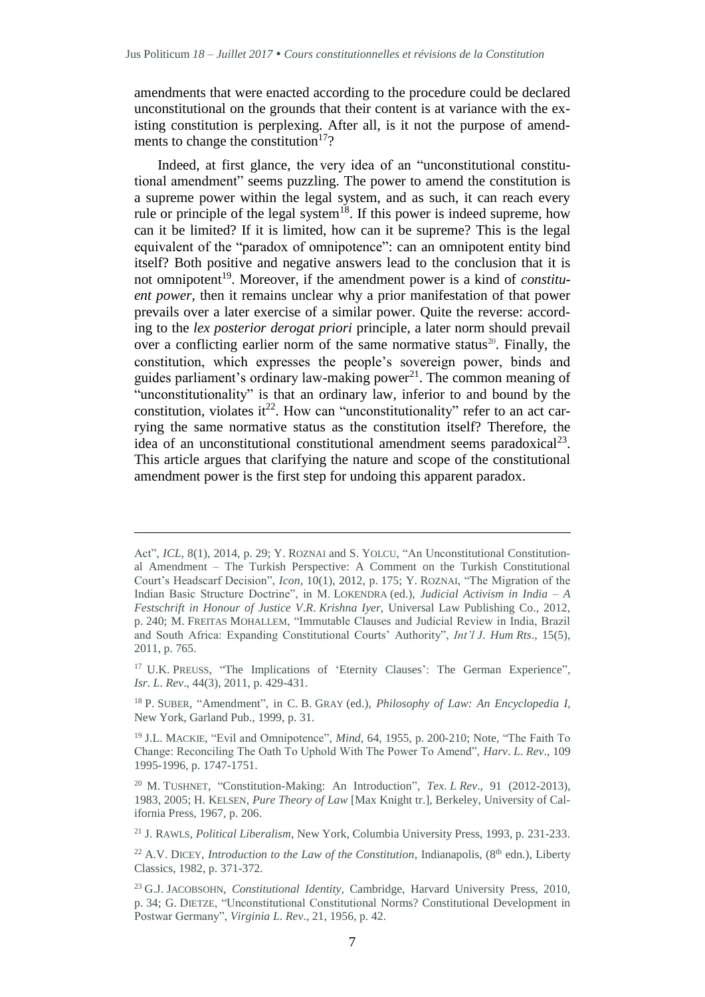amendments that were enacted according to the procedure could be declared unconstitutional on the grounds that their content is at variance with the existing constitution is perplexing. After all, is it not the purpose of amendments to change the constitution<sup>17</sup>?

Indeed, at first glance, the very idea of an "unconstitutional constitutional amendment" seems puzzling. The power to amend the constitution is a supreme power within the legal system, and as such, it can reach every rule or principle of the legal system<sup>18</sup>. If this power is indeed supreme, how can it be limited? If it is limited, how can it be supreme? This is the legal equivalent of the "paradox of omnipotence": can an omnipotent entity bind itself? Both positive and negative answers lead to the conclusion that it is not omnipotent<sup>19</sup>. Moreover, if the amendment power is a kind of *constituent power*, then it remains unclear why a prior manifestation of that power prevails over a later exercise of a similar power. Quite the reverse: according to the *lex posterior derogat priori* principle, a later norm should prevail over a conflicting earlier norm of the same normative status $2^0$ . Finally, the constitution, which expresses the people's sovereign power, binds and guides parliament's ordinary law-making power $^{21}$ . The common meaning of "unconstitutionality" is that an ordinary law, inferior to and bound by the constitution, violates it<sup>22</sup>. How can "unconstitutionality" refer to an act carrying the same normative status as the constitution itself? Therefore, the idea of an unconstitutional constitutional amendment seems paradoxical<sup>23</sup>. This article argues that clarifying the nature and scope of the constitutional amendment power is the first step for undoing this apparent paradox.

 $\overline{a}$ 

Act", *ICL*, 8(1), 2014, p. 29; Y. ROZNAI and S. YOLCU, "An Unconstitutional Constitutional Amendment – The Turkish Perspective: A Comment on the Turkish Constitutional Court's Headscarf Decision", *Icon*, 10(1), 2012, p. 175; Y. ROZNAI, "The Migration of the Indian Basic Structure Doctrine", in M. LOKENDRA (ed.), *Judicial Activism in India – A Festschrift in Honour of Justice V*.*R*. *Krishna Iyer,* Universal Law Publishing Co., 2012, p. 240; M. FREITAS MOHALLEM, "Immutable Clauses and Judicial Review in India, Brazil and South Africa: Expanding Constitutional Courts' Authority", *Int'l J*. *Hum Rts*., 15(5), 2011, p. 765.

<sup>&</sup>lt;sup>17</sup> U.K. PREUSS, "The Implications of 'Eternity Clauses': The German Experience", *Isr*. *L*. *Rev*., 44(3), 2011, p. 429-431.

<sup>18</sup> P. SUBER, "Amendment", in C. B. GRAY (ed.), *Philosophy of Law: An Encyclopedia I*, New York, Garland Pub., 1999, p. 31.

<sup>19</sup> J.L. MACKIE, "Evil and Omnipotence", *Mind*, 64, 1955, p. 200-210; Note, "The Faith To Change: Reconciling The Oath To Uphold With The Power To Amend", *Harv*. *L*. *Rev*., 109 1995-1996, p. 1747-1751.

<sup>20</sup> M. TUSHNET, "Constitution-Making: An Introduction", *Tex*. *L Rev*., 91 (2012-2013), 1983, 2005; H. KELSEN, *Pure Theory of Law* [Max Knight tr.], Berkeley, University of California Press, 1967, p. 206.

<sup>21</sup> J. RAWLS, *Political Liberalism*, New York, Columbia University Press, 1993, p. 231-233.

<sup>&</sup>lt;sup>22</sup> A.V. DICEY, *Introduction to the Law of the Constitution*, Indianapolis,  $(8<sup>th</sup> edn.)$ , Liberty Classics, 1982, p. 371-372.

<sup>23</sup> G.J. JACOBSOHN, *Constitutional Identity*, Cambridge, Harvard University Press, 2010, p. 34; G. DIETZE, "Unconstitutional Constitutional Norms? Constitutional Development in Postwar Germany", *Virginia L*. *Rev*., 21, 1956, p. 42.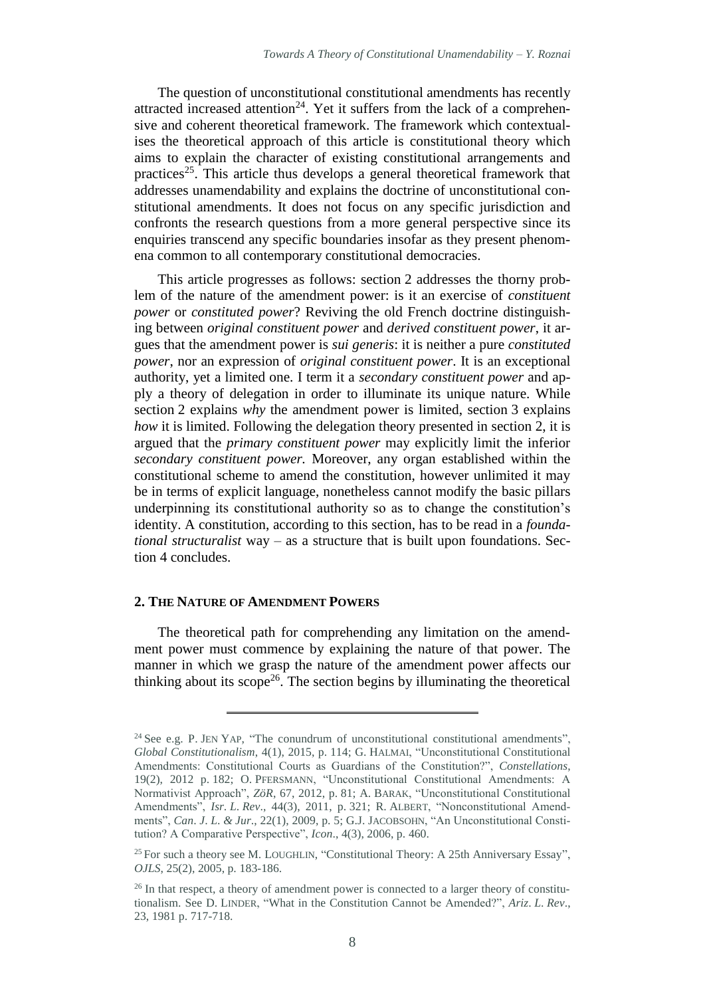The question of unconstitutional constitutional amendments has recently attracted increased attention<sup>24</sup>. Yet it suffers from the lack of a comprehensive and coherent theoretical framework. The framework which contextualises the theoretical approach of this article is constitutional theory which aims to explain the character of existing constitutional arrangements and practices<sup>25</sup>. This article thus develops a general theoretical framework that addresses unamendability and explains the doctrine of unconstitutional constitutional amendments. It does not focus on any specific jurisdiction and confronts the research questions from a more general perspective since its enquiries transcend any specific boundaries insofar as they present phenomena common to all contemporary constitutional democracies.

This article progresses as follows: section 2 addresses the thorny problem of the nature of the amendment power: is it an exercise of *constituent power* or *constituted power*? Reviving the old French doctrine distinguishing between *original constituent power* and *derived constituent power*, it argues that the amendment power is *sui generis*: it is neither a pure *constituted power*, nor an expression of *original constituent power*. It is an exceptional authority, yet a limited one. I term it a *secondary constituent power* and apply a theory of delegation in order to illuminate its unique nature. While section 2 explains *why* the amendment power is limited, section 3 explains *how* it is limited. Following the delegation theory presented in section 2, it is argued that the *primary constituent power* may explicitly limit the inferior *secondary constituent power.* Moreover, any organ established within the constitutional scheme to amend the constitution, however unlimited it may be in terms of explicit language, nonetheless cannot modify the basic pillars underpinning its constitutional authority so as to change the constitution's identity. A constitution, according to this section, has to be read in a *foundational structuralist* way – as a structure that is built upon foundations. Section 4 concludes.

#### **2. THE NATURE OF AMENDMENT POWERS**

The theoretical path for comprehending any limitation on the amendment power must commence by explaining the nature of that power. The manner in which we grasp the nature of the amendment power affects our thinking about its scope<sup>26</sup>. The section begins by illuminating the theoretical

 $24$  See e.g. P. JEN YAP, "The conundrum of unconstitutional constitutional amendments", *Global Constitutionalism*, 4(1), 2015, p. 114; G. HALMAI, "Unconstitutional Constitutional Amendments: Constitutional Courts as Guardians of the Constitution?", *Constellations*, 19(2), 2012 p. 182; O. PFERSMANN, "Unconstitutional Constitutional Amendments: A Normativist Approach", *ZöR*, 67, 2012, p. 81; A. BARAK, "Unconstitutional Constitutional Amendments", *Isr*. *L*. *Rev*., 44(3), 2011, p. 321; R. ALBERT, "Nonconstitutional Amendments", *Can*. *J*. *L*. *& Jur*., 22(1), 2009, p. 5; G.J. JACOBSOHN, "An Unconstitutional Constitution? A Comparative Perspective", *Icon*., 4(3), 2006, p. 460.

 $25$  For such a theory see M. LOUGHLIN, "Constitutional Theory: A 25th Anniversary Essay", *OJLS*, 25(2), 2005, p. 183-186.

<sup>&</sup>lt;sup>26</sup> In that respect, a theory of amendment power is connected to a larger theory of constitutionalism. See D. LINDER, "What in the Constitution Cannot be Amended?", *Ariz*. *L*. *Rev*., 23, 1981 p. 717-718.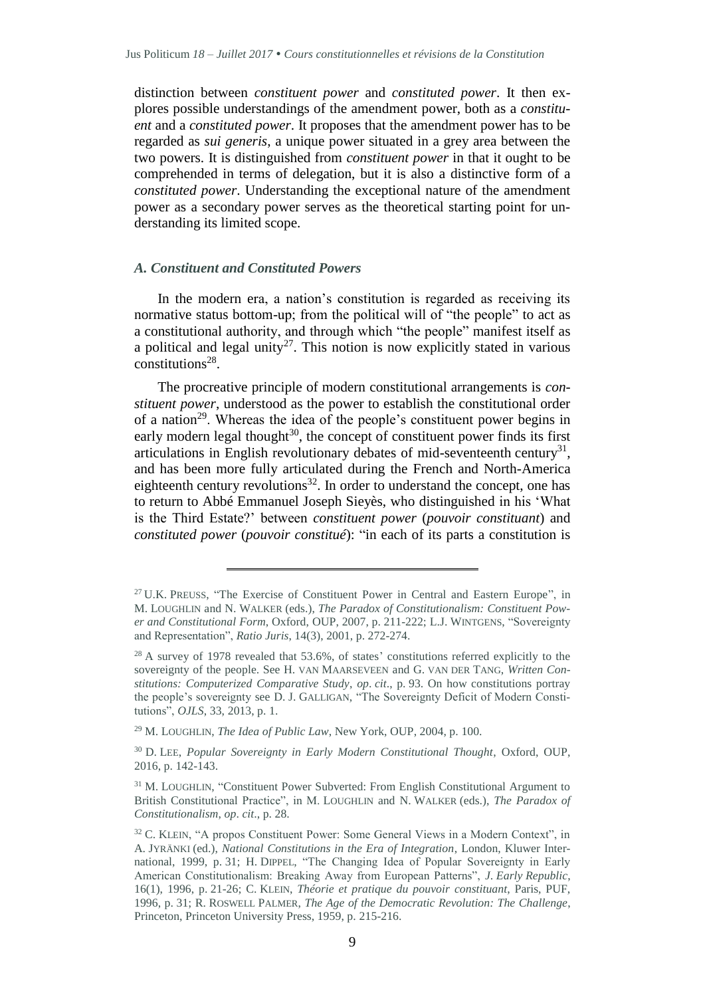distinction between *constituent power* and *constituted power*. It then explores possible understandings of the amendment power, both as a *constituent* and a *constituted power*. It proposes that the amendment power has to be regarded as *sui generis*, a unique power situated in a grey area between the two powers. It is distinguished from *constituent power* in that it ought to be comprehended in terms of delegation, but it is also a distinctive form of a *constituted power*. Understanding the exceptional nature of the amendment power as a secondary power serves as the theoretical starting point for understanding its limited scope.

# *A. Constituent and Constituted Powers*

In the modern era, a nation's constitution is regarded as receiving its normative status bottom-up; from the political will of "the people" to act as a constitutional authority, and through which "the people" manifest itself as a political and legal unity<sup>27</sup>. This notion is now explicitly stated in various  $constitutions<sup>28</sup>$ .

The procreative principle of modern constitutional arrangements is *constituent power*, understood as the power to establish the constitutional order of a nation<sup>29</sup>. Whereas the idea of the people's constituent power begins in early modern legal thought<sup>30</sup>, the concept of constituent power finds its first articulations in English revolutionary debates of mid-seventeenth century<sup>31</sup>, and has been more fully articulated during the French and North-America eighteenth century revolutions<sup>32</sup>. In order to understand the concept, one has to return to Abbé Emmanuel Joseph Sieyès, who distinguished in his 'What is the Third Estate?' between *constituent power* (*pouvoir constituant*) and *constituted power* (*pouvoir constitué*): "in each of its parts a constitution is

<sup>27</sup> U.K. PREUSS, "The Exercise of Constituent Power in Central and Eastern Europe", in M. LOUGHLIN and N. WALKER (eds.), *The Paradox of Constitutionalism: Constituent Power and Constitutional Form*, Oxford, OUP, 2007, p. 211-222; L.J. WINTGENS, "Sovereignty and Representation", *Ratio Juris*, 14(3), 2001, p. 272-274.

<sup>&</sup>lt;sup>28</sup> A survey of 1978 revealed that 53.6%, of states' constitutions referred explicitly to the sovereignty of the people. See H. VAN MAARSEVEEN and G. VAN DER TANG, *Written Constitutions: Computerized Comparative Study*, *op*. *cit*., p. 93. On how constitutions portray the people's sovereignty see D. J. GALLIGAN, "The Sovereignty Deficit of Modern Constitutions", *OJLS*, 33, 2013, p. 1.

<sup>29</sup> M. LOUGHLIN, *The Idea of Public Law*, New York, OUP, 2004, p. 100.

<sup>30</sup> D. LEE, *Popular Sovereignty in Early Modern Constitutional Thought*, Oxford, OUP, 2016, p. 142-143.

<sup>31</sup> M. LOUGHLIN, "Constituent Power Subverted: From English Constitutional Argument to British Constitutional Practice", in M. LOUGHLIN and N. WALKER (eds.), *The Paradox of Constitutionalism*, *op*. *cit*., p. 28.

<sup>&</sup>lt;sup>32</sup> C. KLEIN, "A propos Constituent Power: Some General Views in a Modern Context", in A. JYRÄNKI (ed.), *National Constitutions in the Era of Integration*, London, Kluwer International, 1999, p. 31; H. DIPPEL, "The Changing Idea of Popular Sovereignty in Early American Constitutionalism: Breaking Away from European Patterns", *J*. *Early Republic*, 16(1), 1996, p. 21-26; C. KLEIN, *Théorie et pratique du pouvoir constituant*, Paris, PUF, 1996, p. 31; R. ROSWELL PALMER, *The Age of the Democratic Revolution: The Challenge*, Princeton, Princeton University Press, 1959, p. 215-216.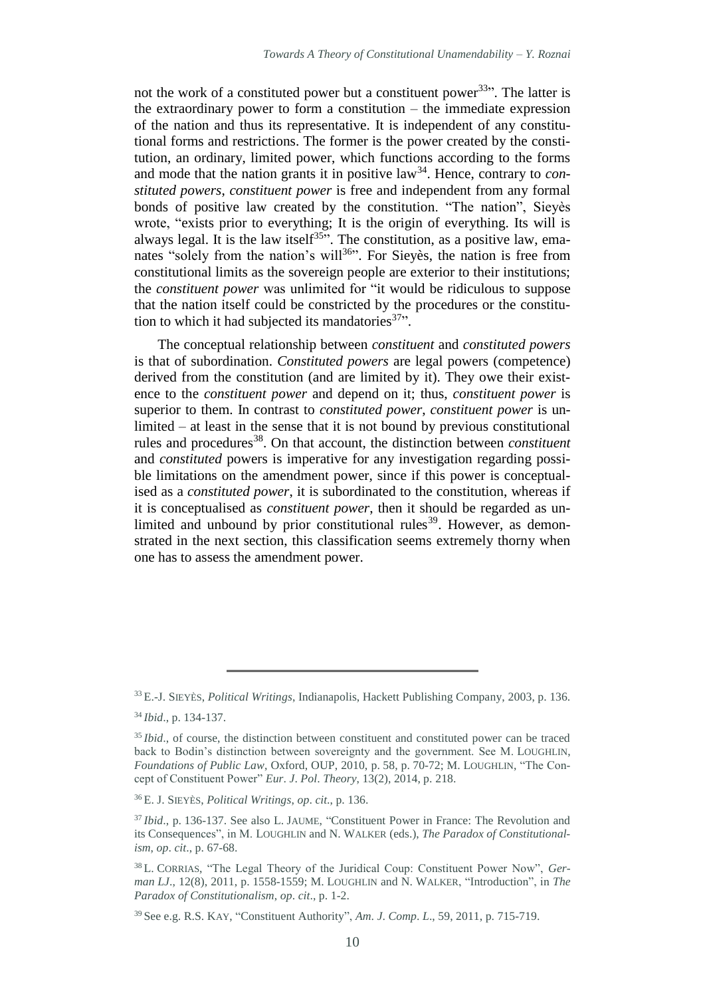not the work of a constituted power but a constituent power<sup>33</sup><sup>33</sup>. The latter is the extraordinary power to form a constitution – the immediate expression of the nation and thus its representative. It is independent of any constitutional forms and restrictions. The former is the power created by the constitution, an ordinary, limited power, which functions according to the forms and mode that the nation grants it in positive law<sup>34</sup>. Hence, contrary to *constituted powers*, *constituent power* is free and independent from any formal bonds of positive law created by the constitution. "The nation", Sieyès wrote, "exists prior to everything; It is the origin of everything. Its will is always legal. It is the law itself<sup>35</sup><sup>35</sup>. The constitution, as a positive law, emanates "solely from the nation's will<sup>36</sup>". For Sieyès, the nation is free from constitutional limits as the sovereign people are exterior to their institutions; the *constituent power* was unlimited for "it would be ridiculous to suppose that the nation itself could be constricted by the procedures or the constitution to which it had subjected its mandatories $37$ .

The conceptual relationship between *constituent* and *constituted powers* is that of subordination. *Constituted powers* are legal powers (competence) derived from the constitution (and are limited by it). They owe their existence to the *constituent power* and depend on it; thus, *constituent power* is superior to them. In contrast to *constituted power*, *constituent power* is unlimited – at least in the sense that it is not bound by previous constitutional rules and procedures<sup>38</sup>. On that account, the distinction between *constituent* and *constituted* powers is imperative for any investigation regarding possible limitations on the amendment power, since if this power is conceptualised as a *constituted power*, it is subordinated to the constitution, whereas if it is conceptualised as *constituent power*, then it should be regarded as unlimited and unbound by prior constitutional rules<sup>39</sup>. However, as demonstrated in the next section, this classification seems extremely thorny when one has to assess the amendment power.

<sup>33</sup> E.-J. SIEYÈS, *Political Writings*, Indianapolis, Hackett Publishing Company, 2003, p. 136.

<sup>34</sup> *Ibid*., p. 134-137.

<sup>&</sup>lt;sup>35</sup> *Ibid.*, of course, the distinction between constituent and constituted power can be traced back to Bodin's distinction between sovereignty and the government. See M. LOUGHLIN, *Foundations of Public Law*, Oxford, OUP, 2010, p. 58, p. 70-72; M. LOUGHLIN, "The Concept of Constituent Power" *Eur*. *J*. *Pol*. *Theory*, 13(2), 2014, p. 218.

<sup>36</sup> E. J. SIEYÈS, *Political Writings*, *op*. *cit*., p. 136.

<sup>37</sup> *Ibid*., p. 136-137. See also L. JAUME, "Constituent Power in France: The Revolution and its Consequences", in M. LOUGHLIN and N. WALKER (eds.), *The Paradox of Constitutionalism*, *op*. *cit*., p. 67-68.

<sup>38</sup> L. CORRIAS, "The Legal Theory of the Juridical Coup: Constituent Power Now", *German LJ*., 12(8), 2011, p. 1558-1559; M. LOUGHLIN and N. WALKER, "Introduction", in *The Paradox of Constitutionalism*, *op*. *cit*., p. 1-2.

<sup>39</sup> See e.g. R.S. KAY, "Constituent Authority", *Am*. *J*. *Comp*. *L*., 59, 2011, p. 715-719.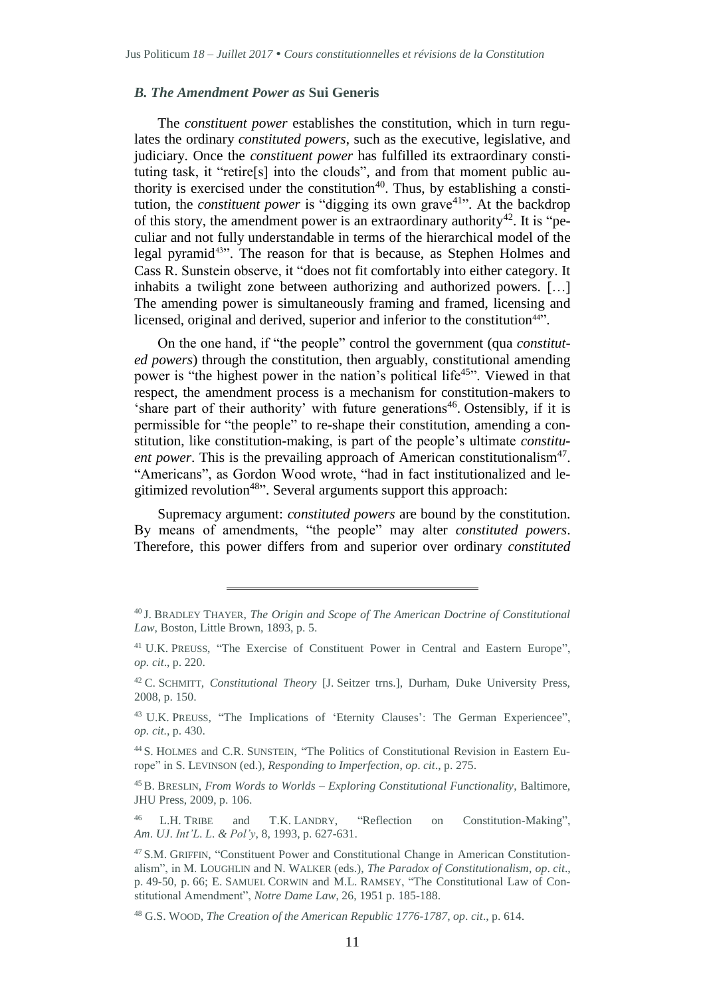### *B. The Amendment Power as* **Sui Generis**

The *constituent power* establishes the constitution, which in turn regulates the ordinary *constituted powers*, such as the executive, legislative, and judiciary. Once the *constituent power* has fulfilled its extraordinary constituting task, it "retire[s] into the clouds", and from that moment public authority is exercised under the constitution<sup>40</sup>. Thus, by establishing a constitution, the *constituent power* is "digging its own grave<sup>41</sup>". At the backdrop of this story, the amendment power is an extraordinary authority<sup>42</sup>. It is "peculiar and not fully understandable in terms of the hierarchical model of the legal pyramid<sup>43</sup><sup>33</sup>. The reason for that is because, as Stephen Holmes and Cass R. Sunstein observe, it "does not fit comfortably into either category. It inhabits a twilight zone between authorizing and authorized powers. […] The amending power is simultaneously framing and framed, licensing and licensed, original and derived, superior and inferior to the constitution<sup>44"</sup>.

On the one hand, if "the people" control the government (qua *constituted powers*) through the constitution, then arguably, constitutional amending power is "the highest power in the nation's political life<sup>45</sup>". Viewed in that respect, the amendment process is a mechanism for constitution-makers to 'share part of their authority' with future generations<sup>46</sup>. Ostensibly, if it is permissible for "the people" to re-shape their constitution, amending a constitution, like constitution-making, is part of the people's ultimate *constituent power*. This is the prevailing approach of American constitutionalism<sup>47</sup>. "Americans", as Gordon Wood wrote, "had in fact institutionalized and legitimized revolution<sup>48</sup><sup>3</sup>. Several arguments support this approach:

Supremacy argument: *constituted powers* are bound by the constitution. By means of amendments, "the people" may alter *constituted powers*. Therefore, this power differs from and superior over ordinary *constituted* 

<sup>40</sup> J. BRADLEY THAYER, *The Origin and Scope of The American Doctrine of Constitutional Law*, Boston, Little Brown, 1893, p. 5.

<sup>41</sup> U.K. PREUSS, "The Exercise of Constituent Power in Central and Eastern Europe", *op. cit*., p. 220.

<sup>42</sup> C. SCHMITT, *Constitutional Theory* [J. Seitzer trns.], Durham, Duke University Press, 2008, p. 150.

<sup>&</sup>lt;sup>43</sup> U.K. PREUSS, "The Implications of 'Eternity Clauses': The German Experiencee", *op. cit.*, p. 430.

<sup>44</sup> S. HOLMES and C.R. SUNSTEIN, "The Politics of Constitutional Revision in Eastern Europe" in S. LEVINSON (ed.), *Responding to Imperfection*, *op*. *cit*., p. 275.

<sup>45</sup> B. BRESLIN, *From Words to Worlds – Exploring Constitutional Functionality*, Baltimore, JHU Press, 2009, p. 106.

<sup>46</sup> L.H. TRIBE and T.K. LANDRY, "Reflection on Constitution-Making", *Am*. *UJ*. *Int'L*. *L*. *& Pol'y*, 8, 1993, p. 627-631.

<sup>47</sup> S.M. GRIFFIN, "Constituent Power and Constitutional Change in American Constitutionalism", in M. LOUGHLIN and N. WALKER (eds.), *The Paradox of Constitutionalism*, *op*. *cit*., p. 49-50, p. 66; E. SAMUEL CORWIN and M.L. RAMSEY, "The Constitutional Law of Constitutional Amendment", *Notre Dame Law*, 26, 1951 p. 185-188.

<sup>48</sup> G.S. WOOD, *The Creation of the American Republic 1776-1787*, *op*. *cit*., p. 614.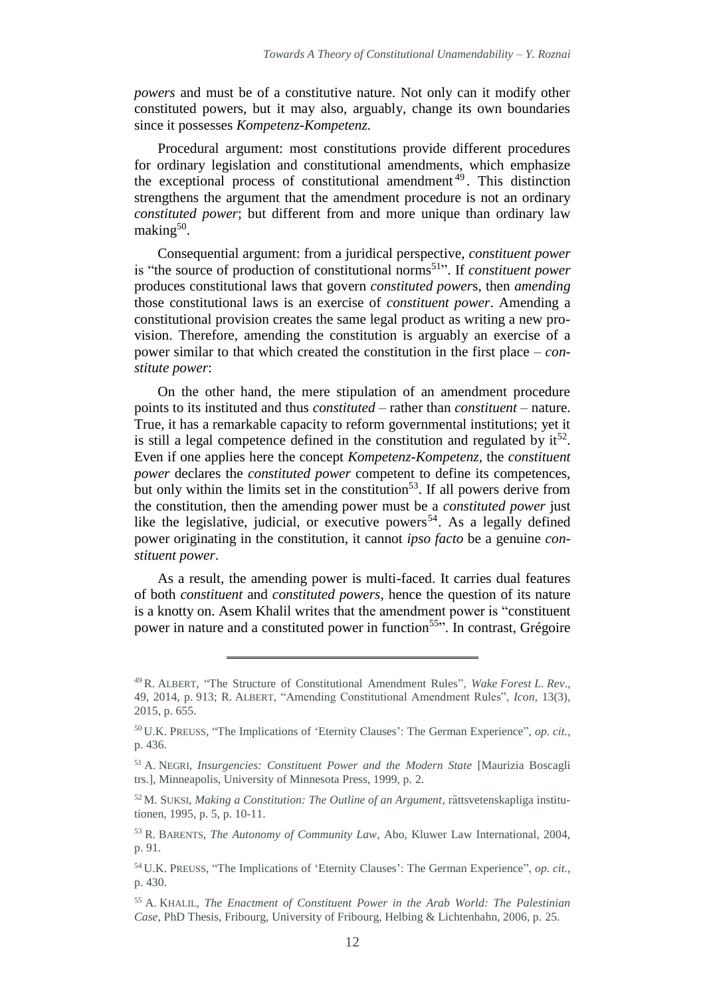*powers* and must be of a constitutive nature. Not only can it modify other constituted powers, but it may also, arguably, change its own boundaries since it possesses *Kompetenz-Kompetenz*.

Procedural argument: most constitutions provide different procedures for ordinary legislation and constitutional amendments, which emphasize the exceptional process of constitutional amendment<sup>49</sup>. This distinction strengthens the argument that the amendment procedure is not an ordinary *constituted power*; but different from and more unique than ordinary law making<sup>50</sup>.

Consequential argument: from a juridical perspective, *constituent power* is "the source of production of constitutional norms<sup>51</sup>". If *constituent power* produces constitutional laws that govern *constituted power*s, then *amending* those constitutional laws is an exercise of *constituent power*. Amending a constitutional provision creates the same legal product as writing a new provision. Therefore, amending the constitution is arguably an exercise of a power similar to that which created the constitution in the first place – *constitute power*:

On the other hand, the mere stipulation of an amendment procedure points to its instituted and thus *constituted* – rather than *constituent* – nature. True, it has a remarkable capacity to reform governmental institutions; yet it is still a legal competence defined in the constitution and regulated by  $it^{52}$ . Even if one applies here the concept *Kompetenz-Kompetenz,* the *constituent power* declares the *constituted power* competent to define its competences, but only within the limits set in the constitution<sup>53</sup>. If all powers derive from the constitution, then the amending power must be a *constituted power* just like the legislative, judicial, or executive powers<sup>54</sup>. As a legally defined power originating in the constitution, it cannot *ipso facto* be a genuine *constituent power*.

As a result, the amending power is multi-faced. It carries dual features of both *constituent* and *constituted powers*, hence the question of its nature is a knotty on. Asem Khalil writes that the amendment power is "constituent power in nature and a constituted power in function<sup>55</sup><sup>35</sup>. In contrast, Grégoire

<sup>49</sup> R. ALBERT, "The Structure of Constitutional Amendment Rules", *Wake Forest L*. *Rev*., 49, 2014, p. 913; R. ALBERT, "Amending Constitutional Amendment Rules", *Icon*, 13(3), 2015, p. 655.

<sup>50</sup> U.K. PREUSS, "The Implications of 'Eternity Clauses': The German Experience", *op. cit.*, p. 436.

<sup>51</sup> A. NEGRI, *Insurgencies: Constituent Power and the Modern State* [Maurizia Boscagli trs.], Minneapolis, University of Minnesota Press, 1999, p. 2.

<sup>52</sup> M. SUKSI, *Making a Constitution: The Outline of an Argument*, rättsvetenskapliga institutionen, 1995, p. 5, p. 10-11.

<sup>53</sup> R. BARENTS, *The Autonomy of Community Law*, Abo, Kluwer Law International, 2004, p. 91.

<sup>54</sup> U.K. PREUSS, "The Implications of 'Eternity Clauses': The German Experience", *op. cit.*, p. 430.

<sup>55</sup> A. KHALIL, *The Enactment of Constituent Power in the Arab World: The Palestinian Case*, PhD Thesis, Fribourg, University of Fribourg, Helbing & Lichtenhahn, 2006, p. 25.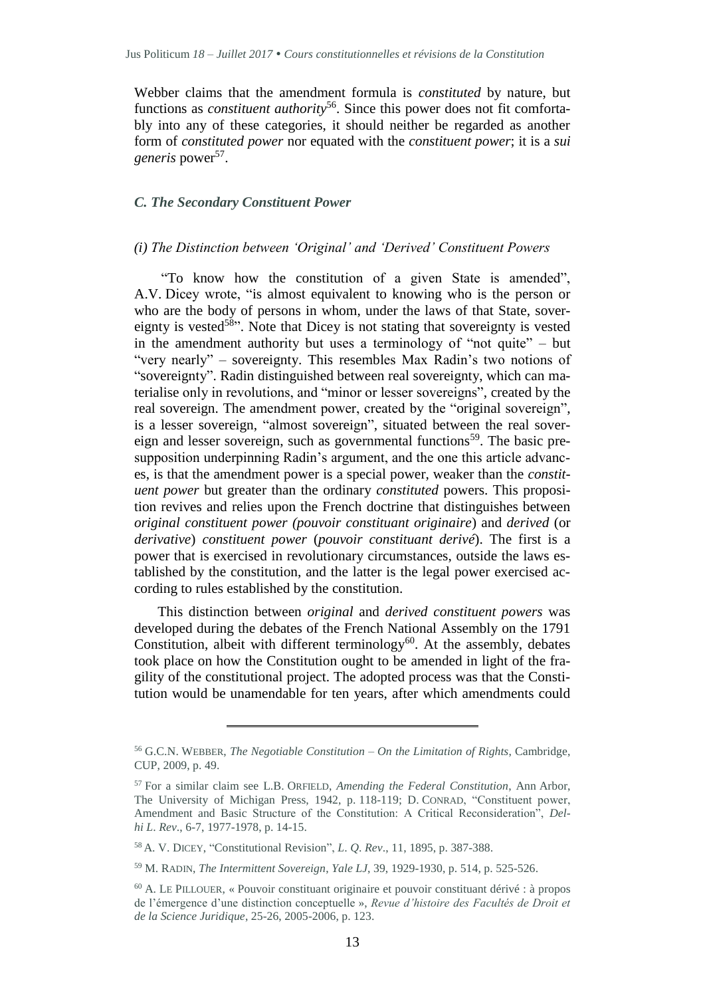Webber claims that the amendment formula is *constituted* by nature, but functions as *constituent authority*<sup>56</sup>. Since this power does not fit comfortably into any of these categories, it should neither be regarded as another form of *constituted power* nor equated with the *constituent power*; it is a *sui*  generis power<sup>57</sup>.

### <span id="page-8-0"></span>*C. The Secondary Constituent Power*

#### *(i) The Distinction between 'Original' and 'Derived' Constituent Powers*

"To know how the constitution of a given State is amended", A.V. Dicey wrote, "is almost equivalent to knowing who is the person or who are the body of persons in whom, under the laws of that State, sovereignty is vested<sup>58</sup><sup>2</sup>. Note that Dicey is not stating that sovereignty is vested in the amendment authority but uses a terminology of "not quite" – but "very nearly" – sovereignty. This resembles Max Radin's two notions of "sovereignty". Radin distinguished between real sovereignty, which can materialise only in revolutions, and "minor or lesser sovereigns", created by the real sovereign. The amendment power, created by the "original sovereign", is a lesser sovereign, "almost sovereign", situated between the real sovereign and lesser sovereign, such as governmental functions<sup>59</sup>. The basic presupposition underpinning Radin's argument, and the one this article advances, is that the amendment power is a special power, weaker than the *constituent power* but greater than the ordinary *constituted* powers. This proposition revives and relies upon the French doctrine that distinguishes between *original constituent power (pouvoir constituant originaire*) and *derived* (or *derivative*) *constituent power* (*pouvoir constituant derivé*). The first is a power that is exercised in revolutionary circumstances, outside the laws established by the constitution, and the latter is the legal power exercised according to rules established by the constitution.

This distinction between *original* and *derived constituent powers* was developed during the debates of the French National Assembly on the 1791 Constitution, albeit with different terminology<sup>60</sup>. At the assembly, debates took place on how the Constitution ought to be amended in light of the fragility of the constitutional project. The adopted process was that the Constitution would be unamendable for ten years, after which amendments could

<sup>56</sup> G.C.N. WEBBER, *The Negotiable Constitution – On the Limitation of Rights*, Cambridge, CUP, 2009, p. 49.

<sup>57</sup> For a similar claim see L.B. ORFIELD, *Amending the Federal Constitution*, Ann Arbor, The University of Michigan Press, 1942, p. 118-119; D. CONRAD, "Constituent power, Amendment and Basic Structure of the Constitution: A Critical Reconsideration", *Delhi L*. *Rev*., 6-7, 1977-1978, p. 14-15.

<sup>58</sup> A. V. DICEY, "Constitutional Revision", *L*. *Q*. *Rev*., 11, 1895, p. 387-388.

<sup>59</sup> M. RADIN, *The Intermittent Sovereign*, *Yale LJ*, 39, 1929-1930, p. 514, p. 525-526.

<sup>60</sup> A. LE PILLOUER, « Pouvoir constituant originaire et pouvoir constituant dérivé : à propos de l'émergence d'une distinction conceptuelle », *Revue d'histoire des Facultés de Droit et de la Science Juridique*, 25-26, 2005-2006, p. 123.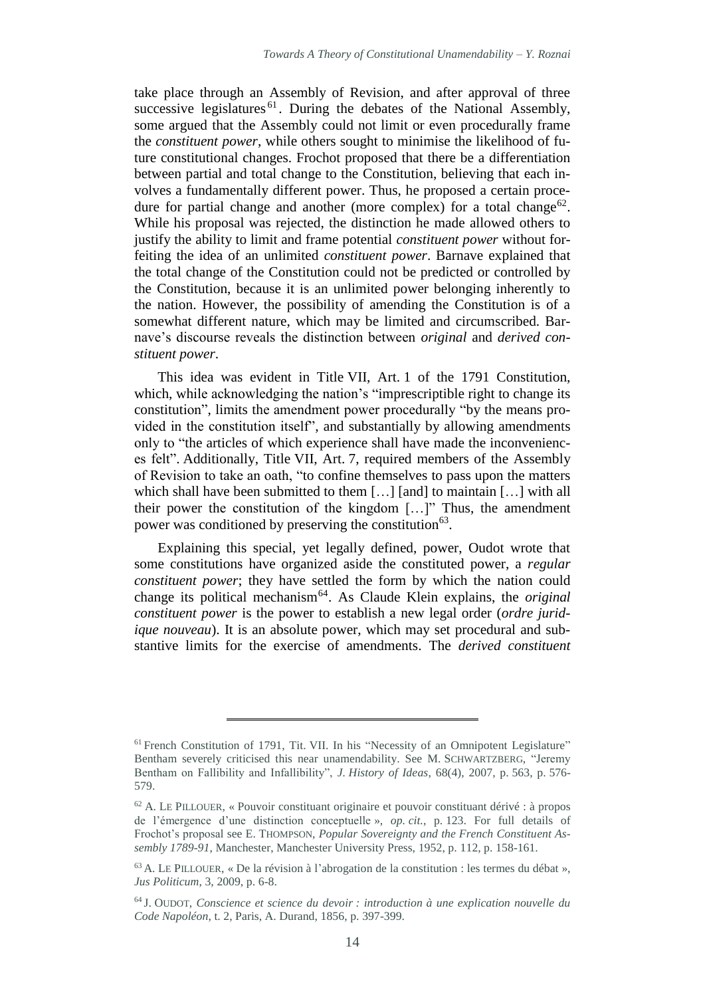take place through an Assembly of Revision, and after approval of three successive legislatures<sup> $61$ </sup>. During the debates of the National Assembly, some argued that the Assembly could not limit or even procedurally frame the *constituent power*, while others sought to minimise the likelihood of future constitutional changes. Frochot proposed that there be a differentiation between partial and total change to the Constitution, believing that each involves a fundamentally different power. Thus, he proposed a certain procedure for partial change and another (more complex) for a total change<sup>62</sup>. While his proposal was rejected, the distinction he made allowed others to justify the ability to limit and frame potential *constituent power* without forfeiting the idea of an unlimited *constituent power*. Barnave explained that the total change of the Constitution could not be predicted or controlled by the Constitution, because it is an unlimited power belonging inherently to the nation. However, the possibility of amending the Constitution is of a somewhat different nature, which may be limited and circumscribed. Barnave's discourse reveals the distinction between *original* and *derived constituent power*.

This idea was evident in Title VII, Art. 1 of the 1791 Constitution, which, while acknowledging the nation's "imprescriptible right to change its constitution", limits the amendment power procedurally "by the means provided in the constitution itself", and substantially by allowing amendments only to "the articles of which experience shall have made the inconveniences felt". Additionally, Title VII, Art. 7, required members of the Assembly of Revision to take an oath, "to confine themselves to pass upon the matters which shall have been submitted to them [...] [and] to maintain [...] with all their power the constitution of the kingdom […]" Thus, the amendment power was conditioned by preserving the constitution<sup>63</sup>.

Explaining this special, yet legally defined, power, Oudot wrote that some constitutions have organized aside the constituted power, a *regular constituent power*; they have settled the form by which the nation could change its political mechanism<sup>64</sup>. As Claude Klein explains, the *original constituent power* is the power to establish a new legal order (*ordre juridique nouveau*). It is an absolute power, which may set procedural and substantive limits for the exercise of amendments. The *derived constituent* 

<sup>&</sup>lt;sup>61</sup> French Constitution of 1791, Tit. VII. In his "Necessity of an Omnipotent Legislature" Bentham severely criticised this near unamendability. See M. SCHWARTZBERG, "Jeremy Bentham on Fallibility and Infallibility", *J. History of Ideas*, 68(4), 2007, p. 563, p. 576- 579.

 $62$  A. LE PILLOUER, « Pouvoir constituant originaire et pouvoir constituant dérivé : à propos de l'émergence d'une distinction conceptuelle », *op. cit.*, p. 123. For full details of Frochot's proposal see E. THOMPSON, *Popular Sovereignty and the French Constituent Assembly 1789-91*, Manchester, Manchester University Press, 1952, p. 112, p. 158-161.

<sup>63</sup> A. LE PILLOUER, « De la révision à l'abrogation de la constitution : les termes du débat », *Jus Politicum*, 3, 2009, p. 6-8.

<sup>64</sup> J. OUDOT, *Conscience et science du devoir : introduction à une explication nouvelle du Code Napoléon*, t. 2, Paris, A. Durand, 1856, p. 397-399.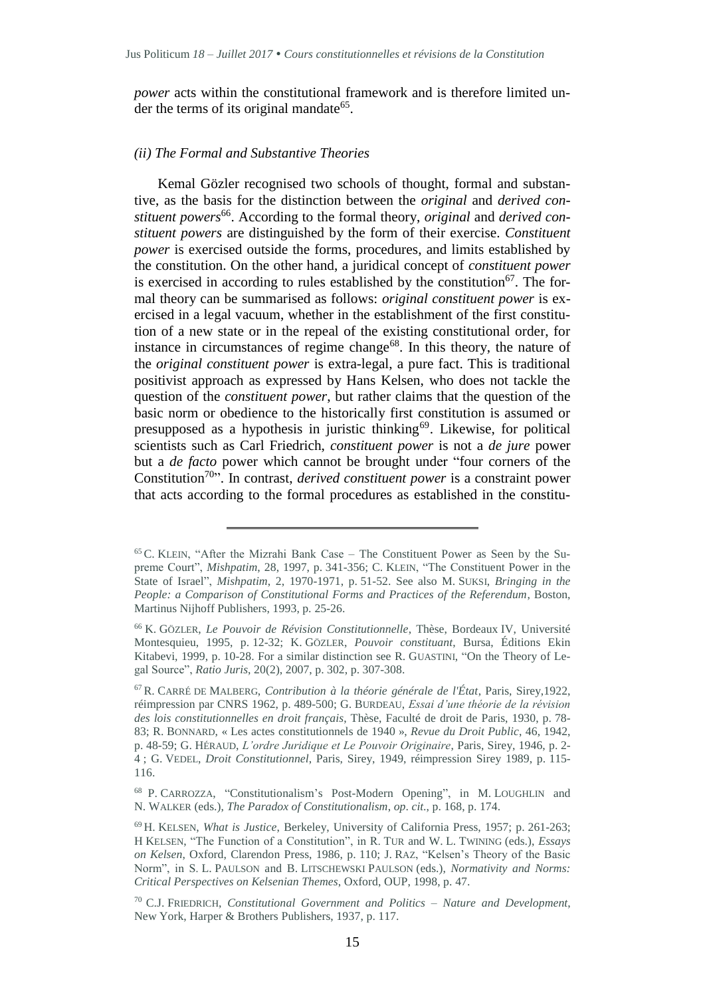*power* acts within the constitutional framework and is therefore limited under the terms of its original mandate<sup>65</sup>.

### *(ii) The Formal and Substantive Theories*

Kemal Gözler recognised two schools of thought, formal and substantive, as the basis for the distinction between the *original* and *derived constituent powers*<sup>66</sup>. According to the formal theory, *original* and *derived constituent powers* are distinguished by the form of their exercise. *Constituent power* is exercised outside the forms, procedures, and limits established by the constitution. On the other hand, a juridical concept of *constituent power* is exercised in according to rules established by the constitution<sup>67</sup>. The formal theory can be summarised as follows: *original constituent power* is exercised in a legal vacuum, whether in the establishment of the first constitution of a new state or in the repeal of the existing constitutional order, for instance in circumstances of regime change $68$ . In this theory, the nature of the *original constituent power* is extra-legal, a pure fact. This is traditional positivist approach as expressed by Hans Kelsen, who does not tackle the question of the *constituent power*, but rather claims that the question of the basic norm or obedience to the historically first constitution is assumed or presupposed as a hypothesis in juristic thinking<sup>69</sup>. Likewise, for political scientists such as Carl Friedrich, *constituent power* is not a *de jure* power but a *de facto* power which cannot be brought under "four corners of the Constitution<sup>70</sup><sup>3</sup>. In contrast, *derived constituent power* is a constraint power that acts according to the formal procedures as established in the constitu-

<sup>65</sup> C. KLEIN, "After the Mizrahi Bank Case – The Constituent Power as Seen by the Supreme Court", *Mishpatim*, 28, 1997, p. 341-356; C. KLEIN, "The Constituent Power in the State of Israel", *Mishpatim*, 2, 1970-1971, p. 51-52. See also M. SUKSI, *Bringing in the People: a Comparison of Constitutional Forms and Practices of the Referendum*, Boston, Martinus Nijhoff Publishers, 1993, p. 25-26.

<sup>66</sup> K. GÖZLER, *Le Pouvoir de Révision Constitutionnelle*, Thèse, Bordeaux IV, Université Montesquieu, 1995, p. 12-32; K. GÖZLER, *Pouvoir constituant*, Bursa, Éditions Ekin Kitabevi, 1999, p. 10-28. For a similar distinction see R. GUASTINI, "On the Theory of Legal Source", *Ratio Juris*, 20(2), 2007, p. 302, p. 307-308.

<sup>67</sup> R. CARRÉ DE MALBERG, *Contribution à la théorie générale de l'État*, Paris, Sirey,1922, réimpression par CNRS 1962, p. 489-500; G. BURDEAU, *Essai d'une théorie de la révision des lois constitutionnelles en droit français*, Thèse, Faculté de droit de Paris, 1930, p. 78- 83; R. BONNARD, « Les actes constitutionnels de 1940 », *Revue du Droit Public*, 46, 1942, p. 48-59; G. HÉRAUD, *L'ordre Juridique et Le Pouvoir Originaire*, Paris, Sirey, 1946, p. 2- 4 ; G. VEDEL, *Droit Constitutionnel*, Paris, Sirey, 1949, réimpression Sirey 1989, p. 115- 116.

<sup>68</sup> P. CARROZZA, "Constitutionalism's Post-Modern Opening", in M. LOUGHLIN and N. WALKER (eds.), *The Paradox of Constitutionalism*, *op*. *cit*., p. 168, p. 174.

<sup>69</sup> H. KELSEN, *What is Justice*, Berkeley, University of California Press, 1957; p. 261-263; H KELSEN, "The Function of a Constitution", in R. TUR and W. L. TWINING (eds.), *Essays on Kelsen*, Oxford, Clarendon Press, 1986, p. 110; J. RAZ, "Kelsen's Theory of the Basic Norm", in S. L. PAULSON and B. LITSCHEWSKI PAULSON (eds.), *Normativity and Norms: Critical Perspectives on Kelsenian Themes*, Oxford, OUP, 1998, p. 47.

<sup>70</sup> C.J. FRIEDRICH, *Constitutional Government and Politics – Nature and Development*, New York, Harper & Brothers Publishers, 1937, p. 117.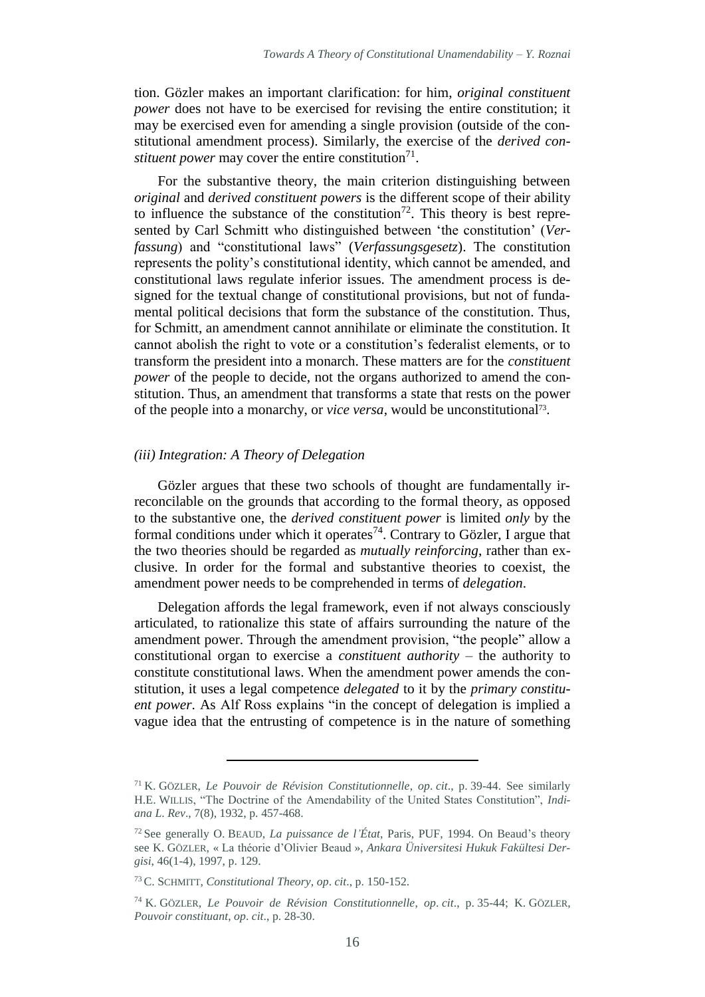tion. Gözler makes an important clarification: for him, *original constituent power* does not have to be exercised for revising the entire constitution; it may be exercised even for amending a single provision (outside of the constitutional amendment process). Similarly, the exercise of the *derived constituent power* may cover the entire constitution<sup>71</sup>.

For the substantive theory, the main criterion distinguishing between *original* and *derived constituent powers* is the different scope of their ability to influence the substance of the constitution<sup>72</sup>. This theory is best represented by Carl Schmitt who distinguished between 'the constitution' (*Verfassung*) and "constitutional laws" (*Verfassungsgesetz*). The constitution represents the polity's constitutional identity, which cannot be amended, and constitutional laws regulate inferior issues. The amendment process is designed for the textual change of constitutional provisions, but not of fundamental political decisions that form the substance of the constitution. Thus, for Schmitt, an amendment cannot annihilate or eliminate the constitution. It cannot abolish the right to vote or a constitution's federalist elements, or to transform the president into a monarch. These matters are for the *constituent power* of the people to decide, not the organs authorized to amend the constitution. Thus, an amendment that transforms a state that rests on the power of the people into a monarchy, or *vice versa*, would be unconstitutional<sup>73</sup>.

### *(iii) Integration: A Theory of Delegation*

Gözler argues that these two schools of thought are fundamentally irreconcilable on the grounds that according to the formal theory, as opposed to the substantive one, the *derived constituent power* is limited *only* by the formal conditions under which it operates<sup>74</sup>. Contrary to Gözler, I argue that the two theories should be regarded as *mutually reinforcing*, rather than exclusive. In order for the formal and substantive theories to coexist, the amendment power needs to be comprehended in terms of *delegation*.

Delegation affords the legal framework, even if not always consciously articulated, to rationalize this state of affairs surrounding the nature of the amendment power. Through the amendment provision, "the people" allow a constitutional organ to exercise a *constituent authority* – the authority to constitute constitutional laws. When the amendment power amends the constitution, it uses a legal competence *delegated* to it by the *primary constituent power*. As Alf Ross explains "in the concept of delegation is implied a vague idea that the entrusting of competence is in the nature of something

<sup>71</sup> K. GÖZLER, *Le Pouvoir de Révision Constitutionnelle*, *op*. *cit*., p. 39-44. See similarly H.E. WILLIS, "The Doctrine of the Amendability of the United States Constitution", *Indiana L*. *Rev*., 7(8), 1932, p. 457-468.

<sup>72</sup> See generally O. BEAUD, *La puissance de l'État*, Paris, PUF, 1994. On Beaud's theory see K. GÖZLER, « La théorie d'Olivier Beaud », *Ankara Üniversitesi Hukuk Fakültesi Dergisi*, 46(1-4), 1997, p. 129.

<sup>73</sup> C. SCHMITT, *Constitutional Theory*, *op*. *cit*., p. 150-152.

<sup>74</sup> K. GÖZLER, *Le Pouvoir de Révision Constitutionnelle*, *op*. *cit*., p. 35-44; K. GÖZLER, *Pouvoir constituant*, *op*. *cit*., p. 28-30.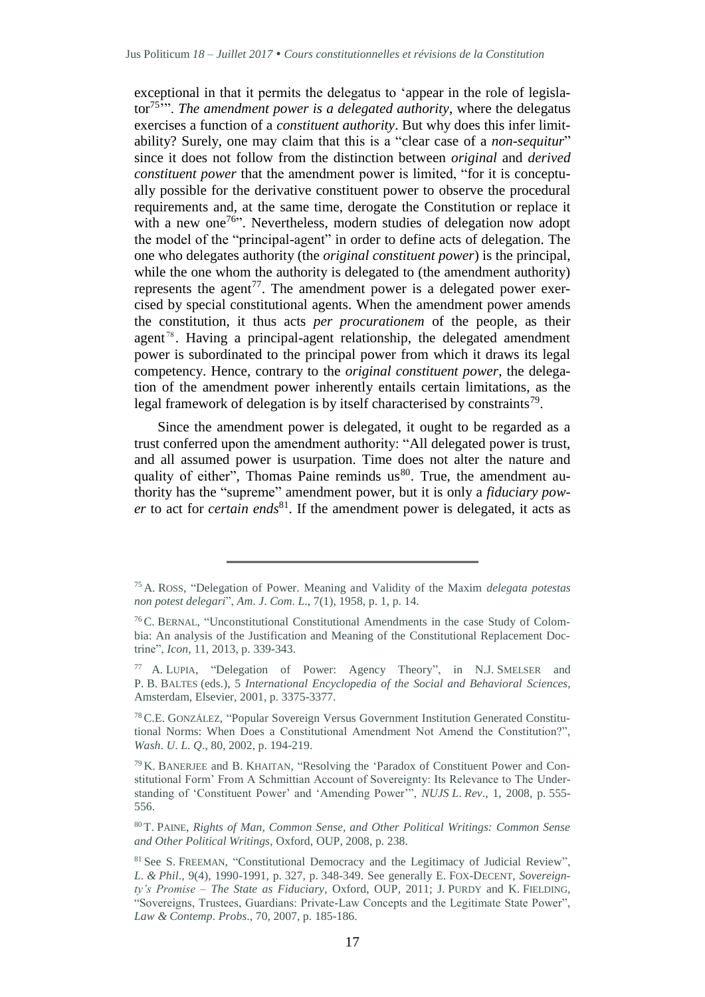exceptional in that it permits the delegatus to 'appear in the role of legislator<sup>75</sup><sup>\*\*</sup>. *The amendment power is a delegated authority*, where the delegatus exercises a function of a *constituent authority*. But why does this infer limitability? Surely, one may claim that this is a "clear case of a *non-sequitur*" since it does not follow from the distinction between *original* and *derived constituent power* that the amendment power is limited, "for it is conceptually possible for the derivative constituent power to observe the procedural requirements and, at the same time, derogate the Constitution or replace it with a new one<sup>76</sup><sup>2</sup>. Nevertheless, modern studies of delegation now adopt the model of the "principal-agent" in order to define acts of delegation. The one who delegates authority (the *original constituent power*) is the principal, while the one whom the authority is delegated to (the amendment authority) represents the agent<sup>77</sup>. The amendment power is a delegated power exercised by special constitutional agents. When the amendment power amends the constitution, it thus acts *per procurationem* of the people, as their agent<sup>78</sup>. Having a principal-agent relationship, the delegated amendment power is subordinated to the principal power from which it draws its legal competency. Hence, contrary to the *original constituent power*, the delegation of the amendment power inherently entails certain limitations, as the legal framework of delegation is by itself characterised by constraints<sup>79</sup>.

Since the amendment power is delegated, it ought to be regarded as a trust conferred upon the amendment authority: "All delegated power is trust, and all assumed power is usurpation. Time does not alter the nature and quality of either", Thomas Paine reminds us<sup>80</sup>. True, the amendment authority has the "supreme" amendment power, but it is only a *fiduciary pow*er to act for *certain ends*<sup>81</sup>. If the amendment power is delegated, it acts as

<sup>75</sup> A. ROSS, "Delegation of Power. Meaning and Validity of the Maxim *delegata potestas non potest delegari*", *Am*. *J*. *Com*. *L*., 7(1), 1958, p. 1, p. 14.

<sup>76</sup> C. BERNAL, "Unconstitutional Constitutional Amendments in the case Study of Colombia: An analysis of the Justification and Meaning of the Constitutional Replacement Doctrine", *Icon*, 11, 2013, p. 339-343.

<sup>77</sup> A. LUPIA, "Delegation of Power: Agency Theory", in N.J. SMELSER and P. B. BALTES (eds.), 5 *International Encyclopedia of the Social and Behavioral Sciences*, Amsterdam, Elsevier, 2001, p. 3375-3377.

<sup>78</sup> C.E. GONZÁLEZ, "Popular Sovereign Versus Government Institution Generated Constitutional Norms: When Does a Constitutional Amendment Not Amend the Constitution?", *Wash*. *U*. *L*. *Q*., 80, 2002, p. 194-219.

<sup>79</sup> K. BANERJEE and B. KHAITAN, "Resolving the 'Paradox of Constituent Power and Constitutional Form' From A Schmittian Account of Sovereignty: Its Relevance to The Understanding of 'Constituent Power' and 'Amending Power'", *NUJS L*. *Rev*., 1, 2008, p. 555- 556.

<sup>80</sup> T. PAINE, *Rights of Man, Common Sense, and Other Political Writings: Common Sense and Other Political Writings*, Oxford, OUP, 2008, p. 238.

<sup>81</sup> See S. FREEMAN, ["Constitutional Democracy and the Legitimacy of Judicial Review"](http://www.jstor.org.gate2.library.lse.ac.uk/stable/3504771), *L*. *& [Phil](http://www.jstor.org.gate2.library.lse.ac.uk/action/showPublication?journalCode=lawphilosophy)*., 9(4), 1990-1991, p. 327, p. 348-349. See generally E. FOX-DECENT, *Sovereignty's Promise – The State as Fiduciary*, Oxford, OUP, 2011; J. PURDY and K. FIELDING, "Sovereigns, Trustees, Guardians: Private-Law Concepts and the Legitimate State Power", *Law & Contemp*. *Probs*., 70, 2007, p. 185-186.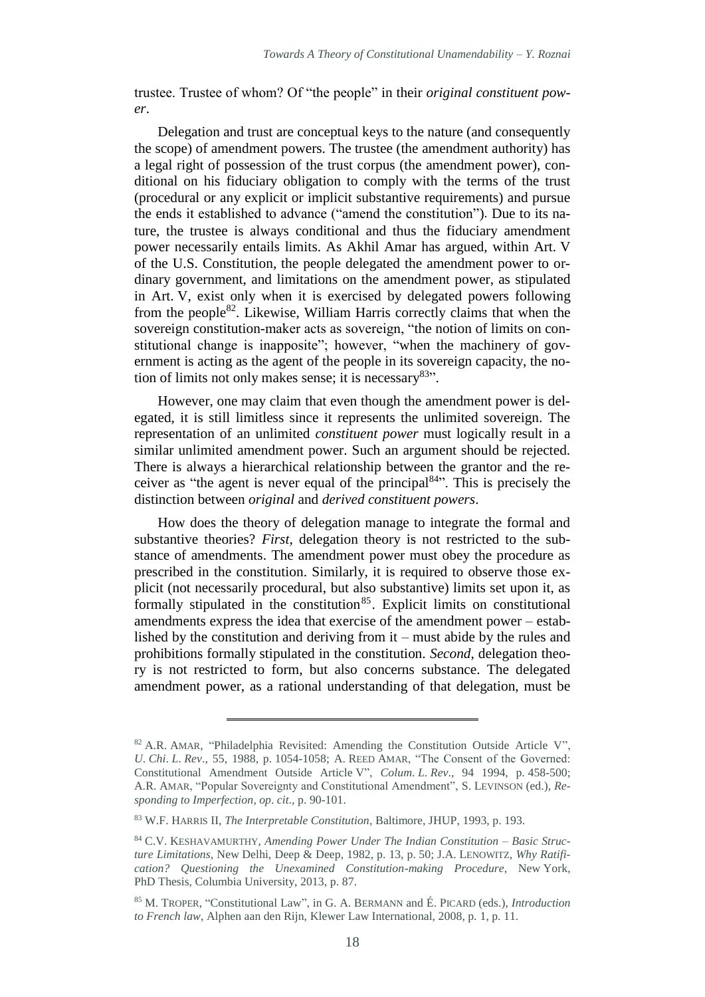trustee. Trustee of whom? Of "the people" in their *original constituent power*.

Delegation and trust are conceptual keys to the nature (and consequently the scope) of amendment powers. The trustee (the amendment authority) has a legal right of possession of the trust corpus (the amendment power), conditional on his fiduciary obligation to comply with the terms of the trust (procedural or any explicit or implicit substantive requirements) and pursue the ends it established to advance ("amend the constitution"). Due to its nature, the trustee is always conditional and thus the fiduciary amendment power necessarily entails limits. As Akhil Amar has argued, within Art. V of the U.S. Constitution, the people delegated the amendment power to ordinary government, and limitations on the amendment power, as stipulated in Art. V, exist only when it is exercised by delegated powers following from the people<sup>82</sup>. Likewise, William Harris correctly claims that when the sovereign constitution-maker acts as sovereign, "the notion of limits on constitutional change is inapposite"; however, "when the machinery of government is acting as the agent of the people in its sovereign capacity, the notion of limits not only makes sense; it is necessary $83$ .

However, one may claim that even though the amendment power is delegated, it is still limitless since it represents the unlimited sovereign. The representation of an unlimited *constituent power* must logically result in a similar unlimited amendment power. Such an argument should be rejected. There is always a hierarchical relationship between the grantor and the receiver as "the agent is never equal of the principal<sup>84</sup>". This is precisely the distinction between *original* and *derived constituent powers*.

How does the theory of delegation manage to integrate the formal and substantive theories? *First*, delegation theory is not restricted to the substance of amendments. The amendment power must obey the procedure as prescribed in the constitution. Similarly, it is required to observe those explicit (not necessarily procedural, but also substantive) limits set upon it, as formally stipulated in the constitution<sup>85</sup>. Explicit limits on constitutional amendments express the idea that exercise of the amendment power – established by the constitution and deriving from it – must abide by the rules and prohibitions formally stipulated in the constitution. *Second*, delegation theory is not restricted to form, but also concerns substance. The delegated amendment power, as a rational understanding of that delegation, must be

 $82$  A.R. AMAR, "Philadelphia Revisited: Amending the Constitution Outside Article V", *U*. *Chi*. *L*. *Rev*., 55, 1988, p. 1054-1058; A. REED AMAR, "The Consent of the Governed: Constitutional Amendment Outside Article V", *Colum*. *L*. *Rev*., 94 1994, p. 458-500; A.R. AMAR, "Popular Sovereignty and Constitutional Amendment", S. LEVINSON (ed.), *Responding to Imperfection*, *op*. *cit*., p. 90-101.

<sup>83</sup> W.F. HARRIS II, *The Interpretable Constitution*, Baltimore, JHUP, 1993, p. 193.

<sup>84</sup> C.V. KESHAVAMURTHY, *Amending Power Under The Indian Constitution – Basic Structure Limitations*, New Delhi, Deep & Deep, 1982, p. 13, p. 50; J.A. LENOWITZ, *Why Ratification? Questioning the Unexamined Constitution-making Procedure*, New York, PhD Thesis, Columbia University, 2013, p. 87.

<sup>85</sup> M. TROPER, "Constitutional Law", in G. A. BERMANN and É. PICARD (eds.), *Introduction to French law*, Alphen aan den Rijn, Klewer Law International, 2008, p. 1, p. 11.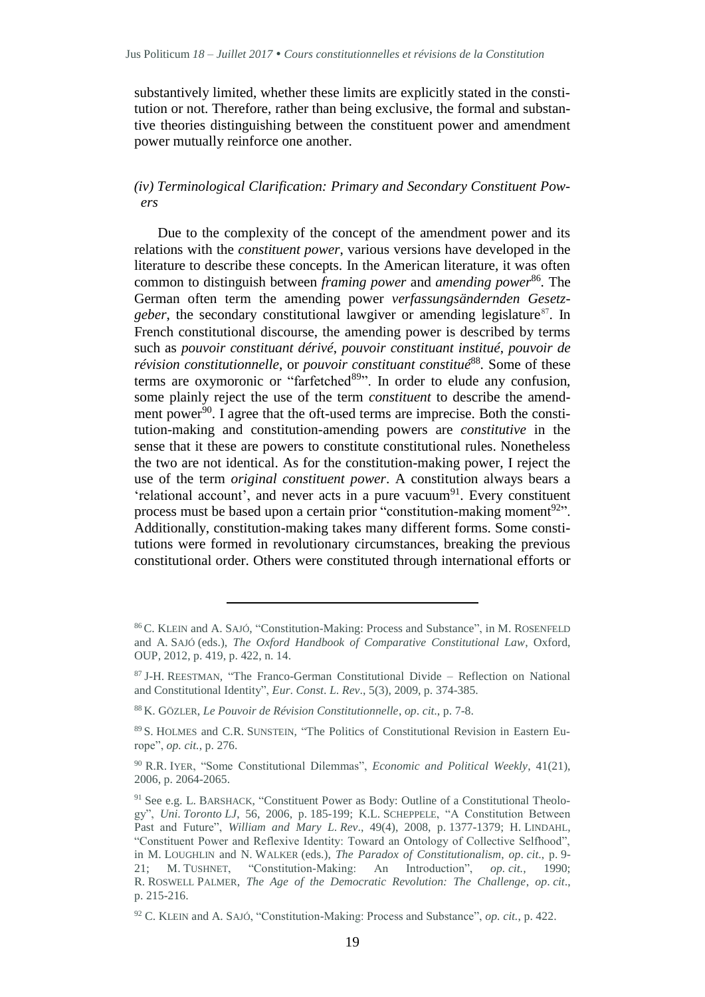substantively limited, whether these limits are explicitly stated in the constitution or not. Therefore, rather than being exclusive, the formal and substantive theories distinguishing between the constituent power and amendment power mutually reinforce one another.

# *(iv) Terminological Clarification: Primary and Secondary Constituent Powers*

Due to the complexity of the concept of the amendment power and its relations with the *constituent power*, various versions have developed in the literature to describe these concepts. In the American literature, it was often common to distinguish between *framing power* and *amending power*<sup>86</sup> *.* The German often term the amending power *verfassungsändernden Gesetz*geber, the secondary constitutional lawgiver or amending legislature<sup>87</sup>. In French constitutional discourse, the amending power is described by terms such as *pouvoir constituant dérivé*, *pouvoir constituant institué*, *pouvoir de révision constitutionnelle*, or *pouvoir constituant constitué*<sup>88</sup> *.* Some of these terms are oxymoronic or "farfetched $89$ ". In order to elude any confusion, some plainly reject the use of the term *constituent* to describe the amendment power<sup>90</sup>. I agree that the oft-used terms are imprecise. Both the constitution-making and constitution-amending powers are *constitutive* in the sense that it these are powers to constitute constitutional rules. Nonetheless the two are not identical. As for the constitution-making power, I reject the use of the term *original constituent power*. A constitution always bears a 'relational account', and never acts in a pure vacuum<sup>91</sup>. Every constituent process must be based upon a certain prior "constitution-making moment $92$ ". Additionally, constitution-making takes many different forms. Some constitutions were formed in revolutionary circumstances, breaking the previous constitutional order. Others were constituted through international efforts or

<sup>86</sup> C. KLEIN and A. SAJÓ, "Constitution-Making: Process and Substance", in M. ROSENFELD and A. SAJÓ (eds.), *The Oxford Handbook of Comparative Constitutional Law*, Oxford, OUP, 2012, p. 419, p. 422, n. 14.

<sup>87</sup> J-H. REESTMAN, "The Franco-German Constitutional Divide – Reflection on National and Constitutional Identity", *Eur*. *Const*. *L*. *Rev*., 5(3), 2009, p. 374-385.

<sup>88</sup> K. GÖZLER, *Le Pouvoir de Révision Constitutionnelle*, *op*. *cit*., p. 7-8.

<sup>89</sup> S. HOLMES and C.R. SUNSTEIN, "The Politics of Constitutional Revision in Eastern Europe", *op. cit.*, p. 276.

<sup>90</sup> R.R. IYER, "Some Constitutional Dilemmas", *Economic and Political Weekly*, 41(21), 2006, p. 2064-2065.

<sup>&</sup>lt;sup>91</sup> See e.g. L. BARSHACK, "Constituent Power as Body: Outline of a Constitutional Theology", *Uni*. *Toronto LJ*, 56, 2006, p. 185-199; K.L. SCHEPPELE, "A Constitution Between Past and Future", *William and Mary L*. *Rev*., 49(4), 2008, p. 1377-1379; H. LINDAHL, "Constituent Power and Reflexive Identity: Toward an Ontology of Collective Selfhood", in M. LOUGHLIN and N. WALKER (eds.), *The Paradox of Constitutionalism*, *op*. *cit*., p. 9- 21; M. TUSHNET, "Constitution-Making: An Introduction", *op. cit.*, 1990; R. ROSWELL PALMER, *The Age of the Democratic Revolution: The Challenge*, *op*. *cit*., p. 215-216.

<sup>92</sup> C. KLEIN and A. SAJÓ, "Constitution-Making: Process and Substance", *op. cit.*, p. 422.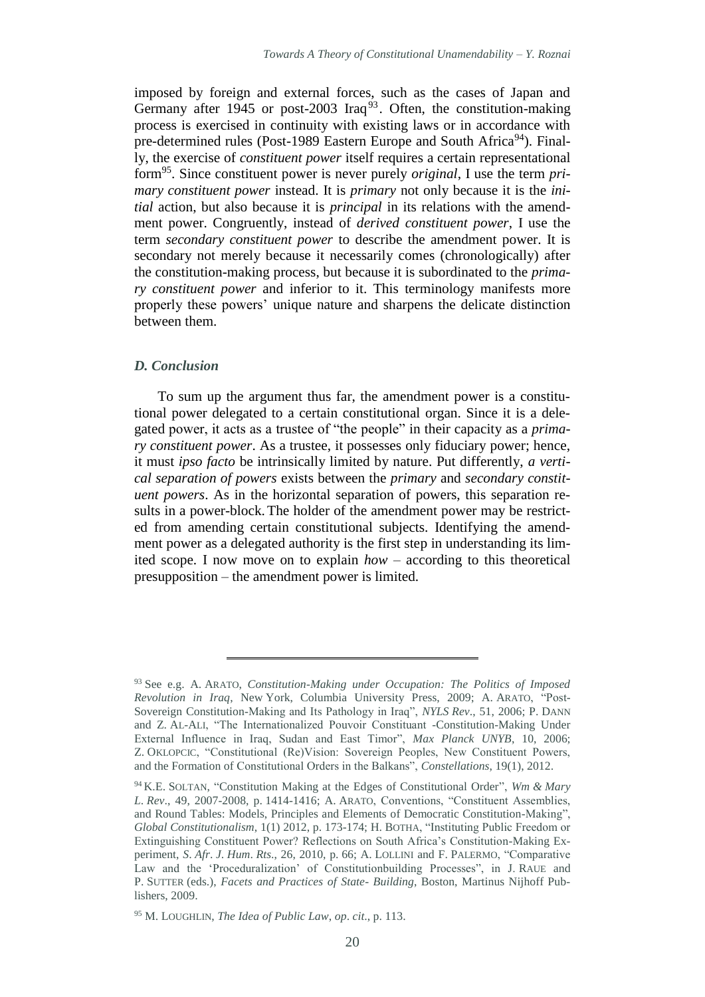imposed by foreign and external forces, such as the cases of Japan and Germany after 1945 or post-2003 Iraq<sup>93</sup>. Often, the constitution-making process is exercised in continuity with existing laws or in accordance with pre-determined rules (Post-1989 Eastern Europe and South Africa<sup>94</sup>). Finally, the exercise of *constituent power* itself requires a certain representational form<sup>95</sup> . Since constituent power is never purely *original*, I use the term *primary constituent power* instead. It is *primary* not only because it is the *initial* action, but also because it is *principal* in its relations with the amendment power. Congruently, instead of *derived constituent power*, I use the term *secondary constituent power* to describe the amendment power. It is secondary not merely because it necessarily comes (chronologically) after the constitution-making process, but because it is subordinated to the *primary constituent power* and inferior to it. This terminology manifests more properly these powers' unique nature and sharpens the delicate distinction between them.

#### *D. Conclusion*

To sum up the argument thus far, the amendment power is a constitutional power delegated to a certain constitutional organ. Since it is a delegated power, it acts as a trustee of "the people" in their capacity as a *primary constituent power*. As a trustee, it possesses only fiduciary power; hence, it must *ipso facto* be intrinsically limited by nature. Put differently, *a vertical separation of powers* exists between the *primary* and *secondary constituent powers*. As in the horizontal separation of powers, this separation results in a power-block.The holder of the amendment power may be restricted from amending certain constitutional subjects. Identifying the amendment power as a delegated authority is the first step in understanding its limited scope. I now move on to explain *how* – according to this theoretical presupposition – the amendment power is limited.

<sup>93</sup> See e.g. A. ARATO, *Constitution-Making under Occupation: The Politics of Imposed Revolution in Iraq*, New York, Columbia University Press, 2009; A. ARATO, "Post-Sovereign Constitution-Making and Its Pathology in Iraq", *NYLS Rev*., 51, 2006; P. DANN and Z. AL-ALI, "The Internationalized Pouvoir Constituant -Constitution-Making Under External Influence in Iraq, Sudan and East Timor", *Max Planck UNYB*, 10, 2006; Z. OKLOPCIC, "Constitutional (Re)Vision: Sovereign Peoples, New Constituent Powers, and the Formation of Constitutional Orders in the Balkans", *Constellations*, 19(1), 2012.

<sup>94</sup> K.E. SOLTAN, "Constitution Making at the Edges of Constitutional Order", *Wm & Mary L*. *Rev*., 49, 2007-2008, p. 1414-1416; A. ARATO, Conventions, "Constituent Assemblies, and Round Tables: Models, Principles and Elements of Democratic Constitution-Making", *Global Constitutionalism*, 1(1) 2012, p. 173-174; H. BOTHA, "Instituting Public Freedom or Extinguishing Constituent Power? Reflections on South Africa's Constitution-Making Experiment, *S*. *Afr*. *J*. *Hum*. *Rts*., 26, 2010, p. 66; A. LOLLINI and F. PALERMO, "Comparative Law and the 'Proceduralization' of Constitutionbuilding Processes", in J. RAUE and P. SUTTER (eds.), *Facets and Practices of State- Building*, Boston, Martinus Nijhoff Publishers, 2009.

<sup>95</sup> M. LOUGHLIN, *The Idea of Public Law*, *op*. *cit*., p. 113.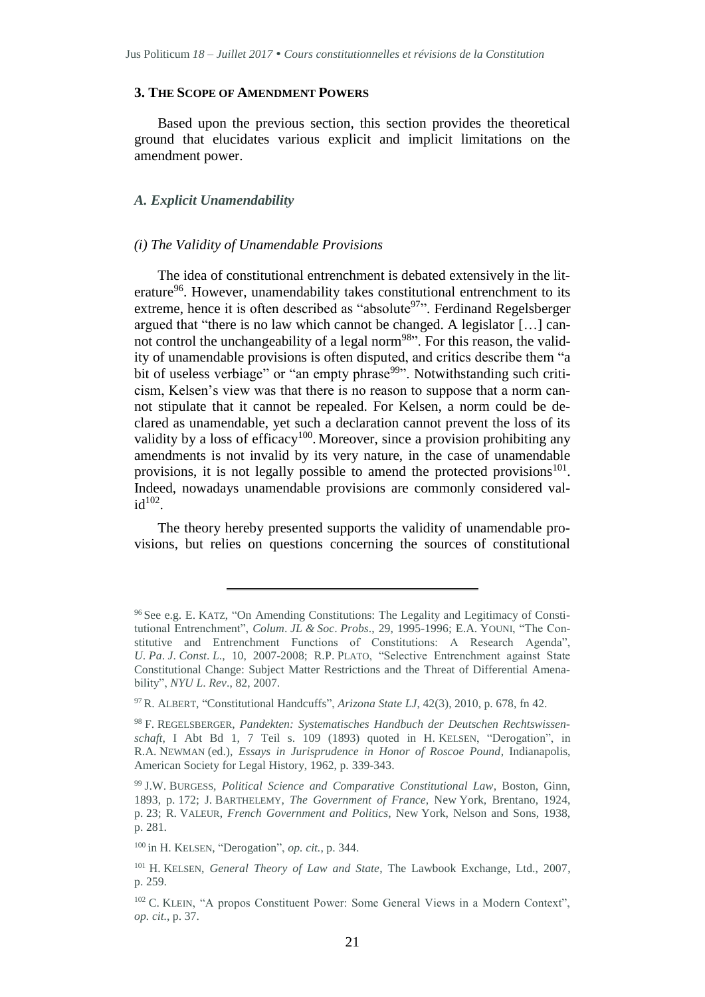### **3. THE SCOPE OF AMENDMENT POWERS**

Based upon the previous section, this section provides the theoretical ground that elucidates various explicit and implicit limitations on the amendment power.

### *A. Explicit Unamendability*

#### *(i) The Validity of Unamendable Provisions*

The idea of constitutional entrenchment is debated extensively in the literature<sup>96</sup>. However, unamendability takes constitutional entrenchment to its extreme, hence it is often described as "absolute<sup>97</sup>". Ferdinand Regelsberger argued that "there is no law which cannot be changed. A legislator […] cannot control the unchangeability of a legal norm<sup>98</sup>". For this reason, the validity of unamendable provisions is often disputed, and critics describe them "a bit of useless verbiage" or "an empty phrase $99$ ". Notwithstanding such criticism, Kelsen's view was that there is no reason to suppose that a norm cannot stipulate that it cannot be repealed. For Kelsen, a norm could be declared as unamendable, yet such a declaration cannot prevent the loss of its validity by a loss of efficacy<sup>100</sup>. Moreover, since a provision prohibiting any amendments is not invalid by its very nature, in the case of unamendable provisions, it is not legally possible to amend the protected provisions<sup>101</sup>. Indeed, nowadays unamendable provisions are commonly considered val $id^{102}$ .

The theory hereby presented supports the validity of unamendable provisions, but relies on questions concerning the sources of constitutional

<sup>96</sup> See e.g. E. KATZ, "On Amending Constitutions: The Legality and Legitimacy of Constitutional Entrenchment", *Colum*. *JL & Soc*. *Probs*., 29, 1995-1996; E.A. YOUNI, "The Constitutive and Entrenchment Functions of Constitutions: A Research Agenda", *U*. *Pa*. *J*. *Const*. *L*., 10, 2007-2008; R.P. PLATO, "Selective Entrenchment against State Constitutional Change: Subject Matter Restrictions and the Threat of Differential Amenability", *NYU L*. *Rev*., 82, 2007.

<sup>97</sup> R. ALBERT, "Constitutional Handcuffs", *Arizona State LJ*, 42(3), 2010, p. 678, fn 42.

<sup>98</sup> F. REGELSBERGER, *Pandekten: Systematisches Handbuch der Deutschen Rechtswissenschaft*, I Abt Bd 1, 7 Teil s. 109 (1893) quoted in H. KELSEN, "Derogation", in R.A. NEWMAN (ed.), *Essays in Jurisprudence in Honor of Roscoe Pound*, Indianapolis, American Society for Legal History, 1962, p. 339-343.

<sup>99</sup> J.W. BURGESS, *Political Science and Comparative Constitutional Law*, Boston, Ginn, 1893, p. 172; J. BARTHELEMY, *The Government of France*, New York, Brentano, 1924, p. 23; R. VALEUR, *French Government and Politics*, New York, Nelson and Sons, 1938, p. 281.

<sup>100</sup> in H. KELSEN, "Derogation", *op. cit.*, p. 344.

<sup>101</sup> H. KELSEN, *General Theory of Law and State*, The Lawbook Exchange, Ltd., 2007, p. 259.

<sup>102</sup> C. KLEIN, "A propos Constituent Power: Some General Views in a Modern Context", *op. cit.*, p. 37.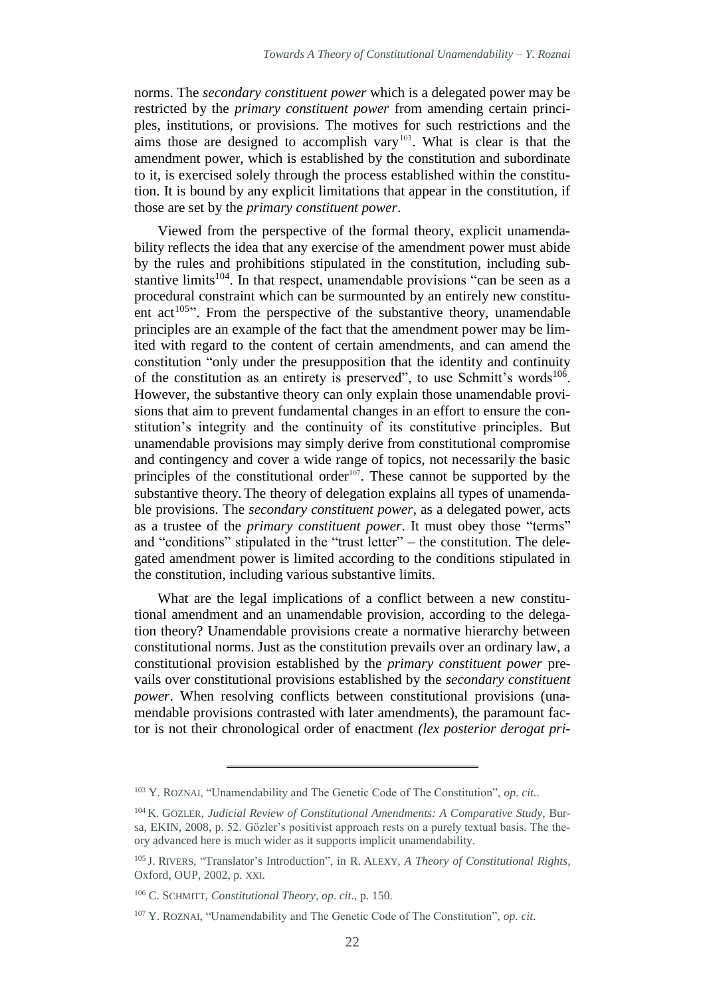norms. The *secondary constituent power* which is a delegated power may be restricted by the *primary constituent power* from amending certain principles, institutions, or provisions. The motives for such restrictions and the aims those are designed to accomplish vary<sup>103</sup>. What is clear is that the amendment power, which is established by the constitution and subordinate to it, is exercised solely through the process established within the constitution. It is bound by any explicit limitations that appear in the constitution, if those are set by the *primary constituent power*.

Viewed from the perspective of the formal theory, explicit unamendability reflects the idea that any exercise of the amendment power must abide by the rules and prohibitions stipulated in the constitution, including substantive limits<sup>104</sup>. In that respect, unamendable provisions "can be seen as a procedural constraint which can be surmounted by an entirely new constituent act<sup>105</sup>". From the perspective of the substantive theory, unamendable principles are an example of the fact that the amendment power may be limited with regard to the content of certain amendments, and can amend the constitution "only under the presupposition that the identity and continuity of the constitution as an entirety is preserved", to use Schmitt's words<sup>106</sup>. However, the substantive theory can only explain those unamendable provisions that aim to prevent fundamental changes in an effort to ensure the constitution's integrity and the continuity of its constitutive principles. But unamendable provisions may simply derive from constitutional compromise and contingency and cover a wide range of topics, not necessarily the basic principles of the constitutional order<sup>107</sup>. These cannot be supported by the substantive theory. The theory of delegation explains all types of unamendable provisions. The *secondary constituent power*, as a delegated power, acts as a trustee of the *primary constituent power*. It must obey those "terms" and "conditions" stipulated in the "trust letter" – the constitution. The delegated amendment power is limited according to the conditions stipulated in the constitution, including various substantive limits.

What are the legal implications of a conflict between a new constitutional amendment and an unamendable provision, according to the delegation theory? Unamendable provisions create a normative hierarchy between constitutional norms. Just as the constitution prevails over an ordinary law, a constitutional provision established by the *primary constituent power* prevails over constitutional provisions established by the *secondary constituent power*. When resolving conflicts between constitutional provisions (unamendable provisions contrasted with later amendments), the paramount factor is not their chronological order of enactment *(lex posterior derogat pri-*

<sup>103</sup> Y. ROZNAI, "Unamendability and The Genetic Code of The Constitution", *op. cit.*.

<sup>104</sup> K. GÖZLER, *Judicial Review of Constitutional Amendments: A Comparative Study*, Bursa, EKIN, 2008, p. 52. Gözler's positivist approach rests on a purely textual basis. The theory advanced here is much wider as it supports implicit unamendability.

<sup>105</sup> J. RIVERS, "Translator's Introduction", in R. ALEXY, *A Theory of Constitutional Rights*, Oxford, OUP, 2002, p. XXI.

<sup>106</sup> C. SCHMITT, *Constitutional Theory*, *op*. *cit*., p. 150.

<sup>107</sup> Y. ROZNAI, "Unamendability and The Genetic Code of The Constitution", *op. cit.*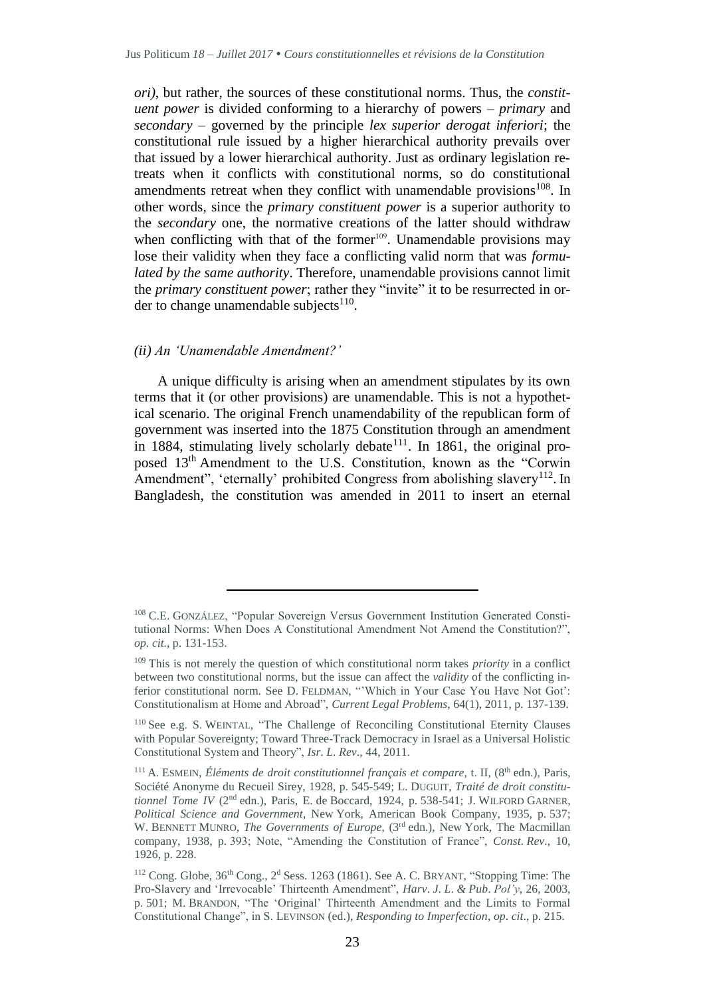*ori)*, but rather, the sources of these constitutional norms. Thus, the *constituent power* is divided conforming to a hierarchy of powers – *primary* and *secondary* – governed by the principle *lex superior derogat inferiori*; the constitutional rule issued by a higher hierarchical authority prevails over that issued by a lower hierarchical authority. Just as ordinary legislation retreats when it conflicts with constitutional norms, so do constitutional amendments retreat when they conflict with unamendable provisions<sup>108</sup>. In other words, since the *primary constituent power* is a superior authority to the *secondary* one, the normative creations of the latter should withdraw when conflicting with that of the former<sup>109</sup>. Unamendable provisions may lose their validity when they face a conflicting valid norm that was *formulated by the same authority*. Therefore, unamendable provisions cannot limit the *primary constituent power*; rather they "invite" it to be resurrected in order to change unamendable subjects $110$ .

# *(ii) An 'Unamendable Amendment?'*

A unique difficulty is arising when an amendment stipulates by its own terms that it (or other provisions) are unamendable. This is not a hypothetical scenario. The original French unamendability of the republican form of government was inserted into the 1875 Constitution through an amendment in 1884, stimulating lively scholarly debate<sup>111</sup>. In 1861, the original proposed 13th Amendment to the U.S. Constitution, known as the "Corwin Amendment", 'eternally' prohibited Congress from abolishing slavery $112$ . In Bangladesh, the constitution was amended in 2011 to insert an eternal

<sup>108</sup> C.E. GONZÁLEZ, "Popular Sovereign Versus Government Institution Generated Constitutional Norms: When Does A Constitutional Amendment Not Amend the Constitution?", *op. cit.*, p. 131-153.

<sup>109</sup> This is not merely the question of which constitutional norm takes *priority* in a conflict between two constitutional norms, but the issue can affect the *validity* of the conflicting inferior constitutional norm. See D. FELDMAN, "'Which in Your Case You Have Not Got': Constitutionalism at Home and Abroad", *Current Legal Problems*, 64(1), 2011, p. 137-139.

<sup>110</sup> See e.g. S. WEINTAL, "The Challenge of Reconciling Constitutional Eternity Clauses with Popular Sovereignty; Toward Three-Track Democracy in Israel as a Universal Holistic Constitutional System and Theory", *Isr*. *L*. *Rev*., 44, 2011.

<sup>&</sup>lt;sup>111</sup> A. ESMEIN, Éléments de droit constitutionnel français et compare, t. II, (8<sup>th</sup> edn.), Paris, Société Anonyme du Recueil Sirey, 1928, p. 545-549; L. DUGUIT, *Traité de droit constitutionnel Tome IV* ( $2<sup>nd</sup>$  edn.), Paris, E. de Boccard, 1924, p. 538-541; J. WILFORD GARNER, *Political Science and Government*, New York, American Book Company, 1935, p. 537; W. BENNETT MUNRO, *The Governments of Europe*, (3<sup>rd</sup> edn.), New York, The Macmillan company, 1938, p. 393; Note, "Amending the Constitution of France", *Const*. *Rev*., 10, 1926, p. 228.

<sup>&</sup>lt;sup>112</sup> Cong. Globe,  $36<sup>th</sup>$  Cong.,  $2<sup>d</sup>$  Sess. 1263 (1861). See A. C. BRYANT, "Stopping Time: The Pro-Slavery and 'Irrevocable' Thirteenth Amendment", *Harv*. *J*. *L*. *& Pub*. *Pol'y*, 26, 2003, p. 501; M. BRANDON, "The 'Original' Thirteenth Amendment and the Limits to Formal Constitutional Change", in S. LEVINSON (ed.), *Responding to Imperfection*, *op*. *cit*., p. 215.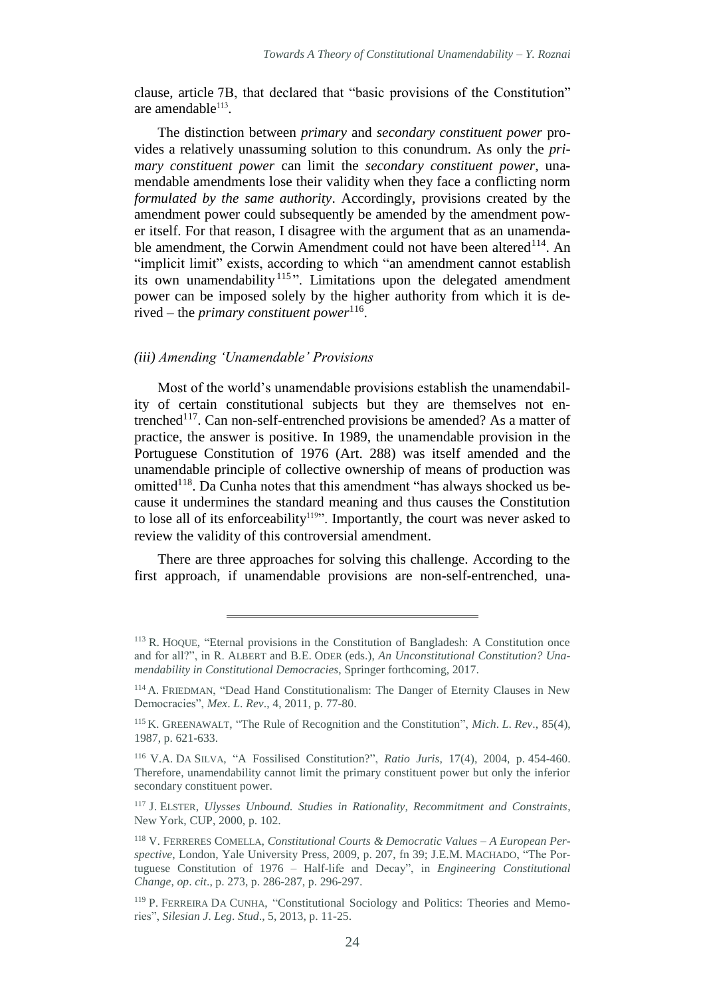clause, article 7B, that declared that "basic provisions of the Constitution" are amendable<sup>113</sup>.

The distinction between *primary* and *secondary constituent power* provides a relatively unassuming solution to this conundrum. As only the *primary constituent power* can limit the *secondary constituent power*, unamendable amendments lose their validity when they face a conflicting norm *formulated by the same authority*. Accordingly, provisions created by the amendment power could subsequently be amended by the amendment power itself. For that reason, I disagree with the argument that as an unamendable amendment, the Corwin Amendment could not have been altered<sup>114</sup>. An "implicit limit" exists, according to which "an amendment cannot establish its own unamendability<sup>115</sup>". Limitations upon the delegated amendment power can be imposed solely by the higher authority from which it is derived – the *primary constituent power*<sup>116</sup> .

# *(iii) Amending 'Unamendable' Provisions*

Most of the world's unamendable provisions establish the unamendability of certain constitutional subjects but they are themselves not entrenched<sup>117</sup>. Can non-self-entrenched provisions be amended? As a matter of practice, the answer is positive. In 1989, the unamendable provision in the Portuguese Constitution of 1976 (Art. 288) was itself amended and the unamendable principle of collective ownership of means of production was omitted $118$ . Da Cunha notes that this amendment "has always shocked us because it undermines the standard meaning and thus causes the Constitution to lose all of its enforceability<sup>119</sup>". Importantly, the court was never asked to review the validity of this controversial amendment.

There are three approaches for solving this challenge. According to the first approach, if unamendable provisions are non-self-entrenched, una-

<sup>113</sup> R. HOQUE, "Eternal provisions in the Constitution of Bangladesh: A Constitution once and for all?", in R. ALBERT and B.E. ODER (eds.), *An Unconstitutional Constitution? Unamendability in Constitutional Democracies*, Springer forthcoming, 2017.

<sup>114</sup> A. FRIEDMAN, "Dead Hand Constitutionalism: The Danger of Eternity Clauses in New Democracies", *Mex*. *L*. *Rev*., 4, 2011, p. 77-80.

<sup>115</sup> K. GREENAWALT, "The Rule of Recognition and the Constitution", *Mich*. *L*. *Rev*., 85(4), 1987, p. 621-633.

<sup>116</sup> V.A. DA SILVA, "A Fossilised Constitution?", *Ratio Juris*, 17(4), 2004, p. 454-460. Therefore, unamendability cannot limit the primary constituent power but only the inferior secondary constituent power.

<sup>117</sup> J. ELSTER, *Ulysses Unbound. Studies in Rationality, Recommitment and Constraints*, New York, CUP, 2000, p. 102.

<sup>118</sup> V. FERRERES COMELLA, *Constitutional Courts & Democratic Values – A European Perspective*, London, Yale University Press, 2009, p. 207, fn 39; J.E.M. MACHADO, "The Portuguese Constitution of 1976 – Half-life and Decay", in *Engineering Constitutional Change*, *op*. *cit*., p. 273, p. 286-287, p. 296-297.

<sup>119</sup> P. FERREIRA DA CUNHA, "Constitutional Sociology and Politics: Theories and Memories", *Silesian J*. *Leg*. *Stud*., 5, 2013, p. 11-25.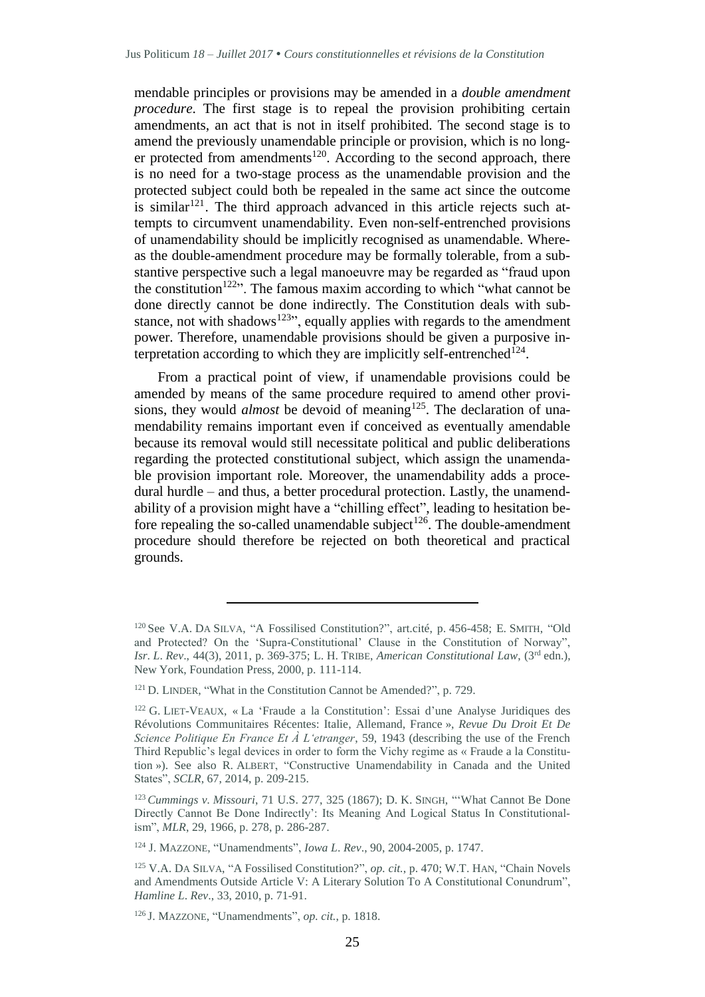mendable principles or provisions may be amended in a *double amendment procedure*. The first stage is to repeal the provision prohibiting certain amendments, an act that is not in itself prohibited. The second stage is to amend the previously unamendable principle or provision, which is no longer protected from amendments<sup>120</sup>. According to the second approach, there is no need for a two-stage process as the unamendable provision and the protected subject could both be repealed in the same act since the outcome is similar<sup>121</sup>. The third approach advanced in this article rejects such attempts to circumvent unamendability. Even non-self-entrenched provisions of unamendability should be implicitly recognised as unamendable. Whereas the double-amendment procedure may be formally tolerable, from a substantive perspective such a legal manoeuvre may be regarded as "fraud upon the constitution<sup>122</sup>". The famous maxim according to which "what cannot be done directly cannot be done indirectly. The Constitution deals with substance, not with shadows<sup>123</sup>", equally applies with regards to the amendment power. Therefore, unamendable provisions should be given a purposive interpretation according to which they are implicitly self-entrenched<sup>124</sup>.

From a practical point of view, if unamendable provisions could be amended by means of the same procedure required to amend other provisions, they would *almost* be devoid of meaning<sup>125</sup>. The declaration of unamendability remains important even if conceived as eventually amendable because its removal would still necessitate political and public deliberations regarding the protected constitutional subject, which assign the unamendable provision important role. Moreover, the unamendability adds a procedural hurdle – and thus, a better procedural protection. Lastly, the unamendability of a provision might have a "chilling effect", leading to hesitation before repealing the so-called unamendable subject<sup>126</sup>. The double-amendment procedure should therefore be rejected on both theoretical and practical grounds.

<sup>120</sup> See V.A. DA SILVA, "A Fossilised Constitution?", art.cité, p. 456-458; E. SMITH, "Old and Protected? On the 'Supra-Constitutional' Clause in the Constitution of Norway", *Isr*. *L*. *Rev*., 44(3), 2011, p. 369-375; L. H. TRIBE, *American Constitutional Law*, (3rd edn.), New York, Foundation Press, 2000, p. 111-114.

<sup>121</sup> D. LINDER, "What in the Constitution Cannot be Amended?", p. 729.

<sup>122</sup> G. LIET-VEAUX, « La 'Fraude a la Constitution': Essai d'une Analyse Juridiques des Révolutions Communitaires Récentes: Italie, Allemand, France », *Revue Du Droit Et De Science Politique En France Et À L'etranger*, 59, 1943 (describing the use of the French Third Republic's legal devices in order to form the Vichy regime as « Fraude a la Constitution »). See also R. ALBERT, "Constructive Unamendability in Canada and the United States", *SCLR*, 67, 2014, p. 209-215.

<sup>123</sup> *Cummings v. Missouri*, 71 U.S. 277, 325 (1867); D. K. SINGH, "'What Cannot Be Done Directly Cannot Be Done Indirectly': Its Meaning And Logical Status In Constitutionalism", *MLR*, 29, 1966, p. 278, p. 286-287.

<sup>124</sup> J. MAZZONE, "Unamendments", *Iowa L*. *Rev*., 90, 2004-2005, p. 1747.

<sup>125</sup> V.A. DA SILVA, "A Fossilised Constitution?", *op. cit.*, p. 470; W.T. HAN, "Chain Novels and Amendments Outside Article V: A Literary Solution To A Constitutional Conundrum", *Hamline L*. *Rev*., 33, 2010, p. 71-91.

<sup>126</sup> J. MAZZONE, "Unamendments", *op. cit.*, p. 1818.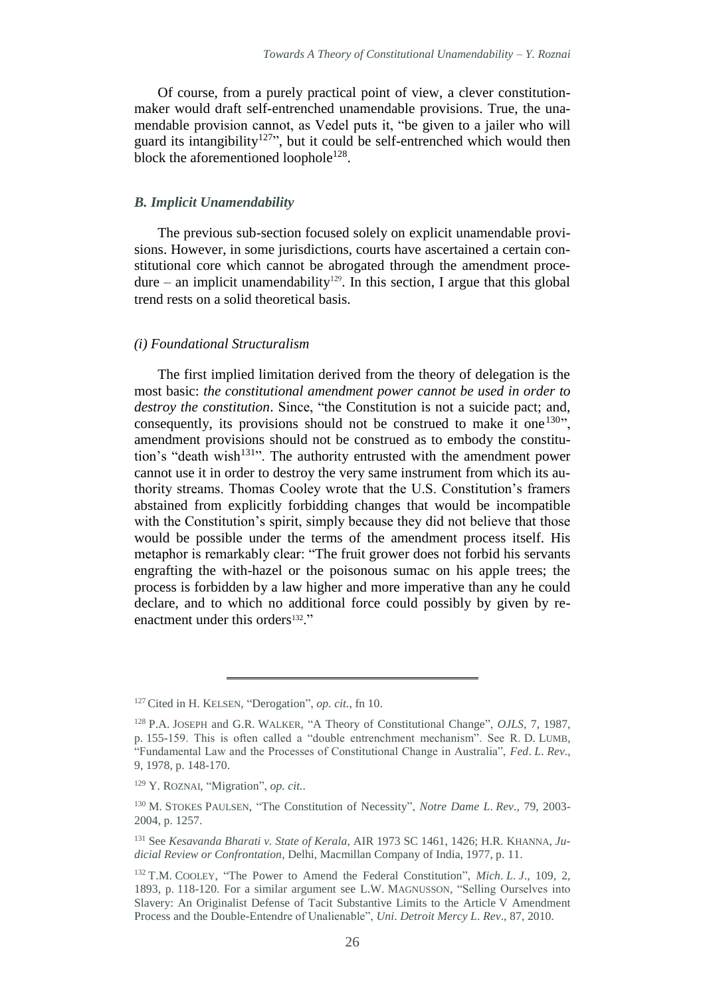Of course, from a purely practical point of view, a clever constitutionmaker would draft self-entrenched unamendable provisions. True, the unamendable provision cannot, as Vedel puts it, "be given to a jailer who will guard its intangibility<sup>127</sup>", but it could be self-entrenched which would then block the aforementioned loophole<sup>128</sup>.

### *B. Implicit Unamendability*

The previous sub-section focused solely on explicit unamendable provisions. However, in some jurisdictions, courts have ascertained a certain constitutional core which cannot be abrogated through the amendment procedure – an implicit unamendability<sup>129</sup>. In this section, I argue that this global trend rests on a solid theoretical basis.

### *(i) Foundational Structuralism*

The first implied limitation derived from the theory of delegation is the most basic: *the constitutional amendment power cannot be used in order to destroy the constitution*. Since, "the Constitution is not a suicide pact; and, consequently, its provisions should not be construed to make it one<sup>130</sup>", amendment provisions should not be construed as to embody the constitution's "death wish<sup>131</sup>". The authority entrusted with the amendment power cannot use it in order to destroy the very same instrument from which its authority streams. Thomas Cooley wrote that the U.S. Constitution's framers abstained from explicitly forbidding changes that would be incompatible with the Constitution's spirit, simply because they did not believe that those would be possible under the terms of the amendment process itself. His metaphor is remarkably clear: "The fruit grower does not forbid his servants engrafting the with-hazel or the poisonous sumac on his apple trees; the process is forbidden by a law higher and more imperative than any he could declare, and to which no additional force could possibly by given by reenactment under this orders<sup>132</sup>."

<sup>127</sup> Cited in H. KELSEN, "Derogation", *op. cit.*, fn 10.

<sup>128</sup> P.A. JOSEPH and G.R. WALKER, "A Theory of Constitutional Change", *OJLS*, 7, 1987, p. 155-159. This is often called a "double entrenchment mechanism". See R. D. LUMB, "Fundamental Law and the Processes of Constitutional Change in Australia", *Fed*. *L*. *Rev*., 9, 1978, p. 148-170.

<sup>129</sup> Y. ROZNAI, "Migration", *op. cit.*.

<sup>130</sup> M. STOKES PAULSEN, "The Constitution of Necessity", *Notre Dame L*. *Rev*., 79, 2003- 2004, p. 1257.

<sup>131</sup> See *Kesavanda Bharati v. State of Kerala*, AIR 1973 SC 1461, 1426; H.R. KHANNA, *Judicial Review or Confrontation*, Delhi, Macmillan Company of India, 1977, p. 11.

<sup>132</sup> T.M. COOLEY, "The Power to Amend the Federal Constitution", *Mich*. *L*. *J*., 109, 2, 1893, p. 118-120. For a similar argument see L.W. MAGNUSSON, "Selling Ourselves into Slavery: An Originalist Defense of Tacit Substantive Limits to the Article V Amendment Process and the Double-Entendre of Unalienable", *Uni*. *Detroit Mercy L*. *Rev*., 87, 2010.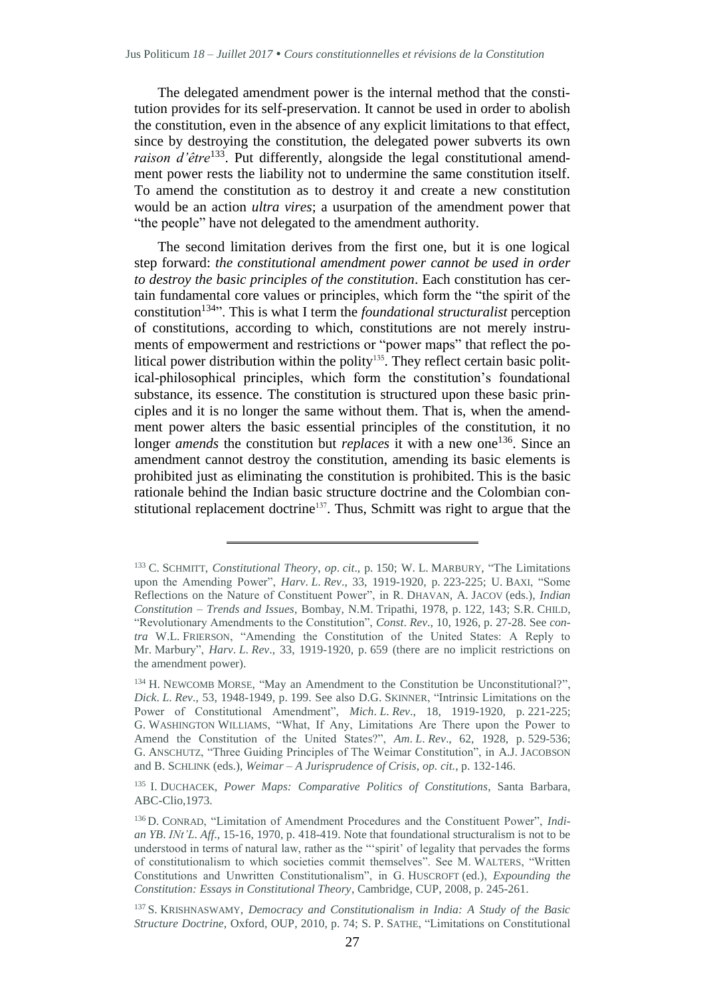The delegated amendment power is the internal method that the constitution provides for its self-preservation. It cannot be used in order to abolish the constitution, even in the absence of any explicit limitations to that effect, since by destroying the constitution, the delegated power subverts its own *raison d'être*<sup>133</sup>. Put differently, alongside the legal constitutional amendment power rests the liability not to undermine the same constitution itself. To amend the constitution as to destroy it and create a new constitution would be an action *ultra vires*; a usurpation of the amendment power that "the people" have not delegated to the amendment authority.

The second limitation derives from the first one, but it is one logical step forward: *the constitutional amendment power cannot be used in order to destroy the basic principles of the constitution*. Each constitution has certain fundamental core values or principles, which form the "the spirit of the constitution<sup>134</sup>". This is what I term the *foundational structuralist* perception of constitutions, according to which, constitutions are not merely instruments of empowerment and restrictions or "power maps" that reflect the political power distribution within the polity<sup>135</sup>. They reflect certain basic political-philosophical principles, which form the constitution's foundational substance, its essence. The constitution is structured upon these basic principles and it is no longer the same without them. That is, when the amendment power alters the basic essential principles of the constitution, it no longer *amends* the constitution but *replaces* it with a new one<sup>136</sup>. Since an amendment cannot destroy the constitution, amending its basic elements is prohibited just as eliminating the constitution is prohibited. This is the basic rationale behind the Indian basic structure doctrine and the Colombian constitutional replacement doctrine<sup>137</sup>. Thus, Schmitt was right to argue that the

<sup>133</sup> C. SCHMITT, *Constitutional Theory*, *op*. *cit*., p. 150; W. L. MARBURY, "The Limitations upon the Amending Power", *Harv*. *L*. *Rev*., 33, 1919-1920, p. 223-225; U. BAXI, "Some Reflections on the Nature of Constituent Power", in R. DHAVAN, A. JACOV (eds.), *Indian Constitution – Trends and Issues*, Bombay, N.M. Tripathi, 1978, p. 122, 143; S.R. CHILD, "Revolutionary Amendments to the Constitution", *Const*. *Rev*., 10, 1926, p. 27-28. See *contra* W.L. FRIERSON, "Amending the Constitution of the United States: A Reply to Mr. Marbury", *Harv*. *L*. *Rev*., 33, 1919-1920, p. 659 (there are no implicit restrictions on the amendment power).

<sup>134</sup> H. NEWCOMB MORSE, "May an Amendment to the Constitution be Unconstitutional?", *Dick*. *L*. *Rev*., 53, 1948-1949, p. 199. See also D.G. SKINNER, "Intrinsic Limitations on the Power of Constitutional Amendment", *Mich*. *L*. *Rev*., 18, 1919-1920, p. 221-225; G. WASHINGTON WILLIAMS, "What, If Any, Limitations Are There upon the Power to Amend the Constitution of the United States?", *Am*. *L*. *Rev*., 62, 1928, p. 529-536; G. ANSCHUTZ, "Three Guiding Principles of The Weimar Constitution", in A.J. JACOBSON and B. SCHLINK (eds.), *Weimar – A Jurisprudence of Crisis*, *op. cit.*, p. 132-146.

<sup>135</sup> I. DUCHACEK, *Power Maps: Comparative Politics of Constitutions*, Santa Barbara, ABC-Clio,1973.

<sup>136</sup> D. CONRAD, "Limitation of Amendment Procedures and the Constituent Power", *Indian YB*. *INt'L*. *Aff*., 15-16, 1970, p. 418-419. Note that foundational structuralism is not to be understood in terms of natural law, rather as the "'spirit' of legality that pervades the forms of constitutionalism to which societies commit themselves". See M. WALTERS, "Written Constitutions and Unwritten Constitutionalism", in G. HUSCROFT (ed.), *Expounding the Constitution: Essays in Constitutional Theory*, Cambridge, CUP, 2008, p. 245-261.

<sup>137</sup> S. KRISHNASWAMY, *Democracy and Constitutionalism in India: A Study of the Basic Structure Doctrine*, Oxford, OUP, 2010, p. 74; S. P. SATHE, "Limitations on Constitutional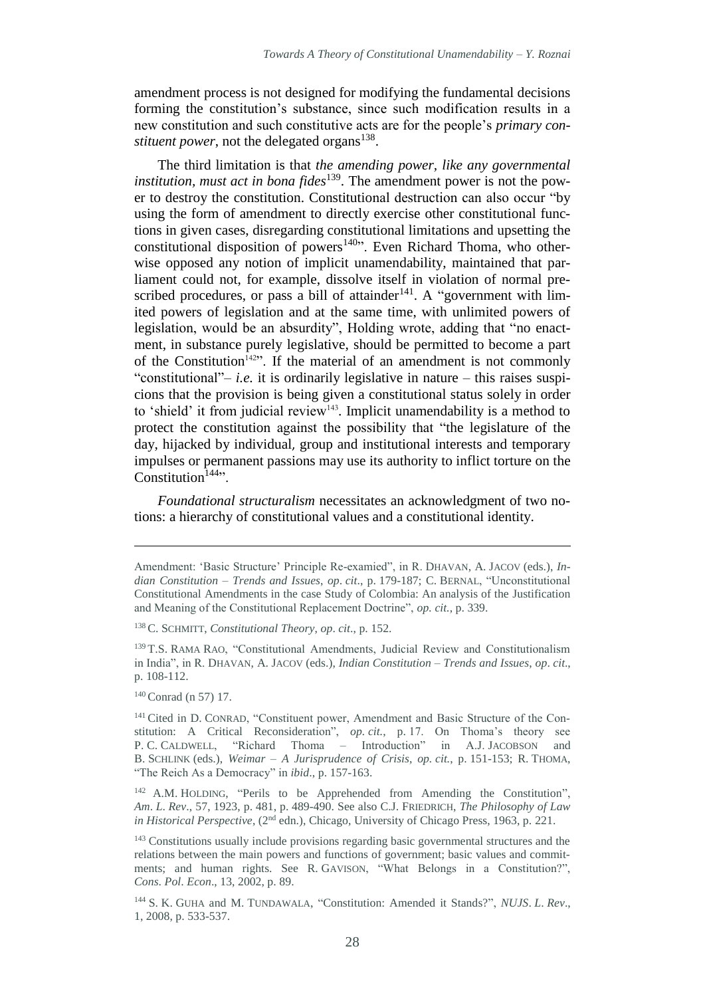amendment process is not designed for modifying the fundamental decisions forming the constitution's substance, since such modification results in a new constitution and such constitutive acts are for the people's *primary con*stituent power, not the delegated organs<sup>138</sup>.

The third limitation is that *the amending power, like any governmental institution, must act in bona fides*<sup>139</sup>. The amendment power is not the power to destroy the constitution. Constitutional destruction can also occur "by using the form of amendment to directly exercise other constitutional functions in given cases, disregarding constitutional limitations and upsetting the constitutional disposition of powers<sup>140</sup>". Even Richard Thoma, who otherwise opposed any notion of implicit unamendability, maintained that parliament could not, for example, dissolve itself in violation of normal prescribed procedures, or pass a bill of attainder<sup>141</sup>. A "government with  $\lim$ ited powers of legislation and at the same time, with unlimited powers of legislation, would be an absurdity", Holding wrote, adding that "no enactment, in substance purely legislative, should be permitted to become a part of the Constitution<sup>142</sup>". If the material of an amendment is not commonly "constitutional"– *i.e.* it is ordinarily legislative in nature – this raises suspicions that the provision is being given a constitutional status solely in order to 'shield' it from judicial review<sup>143</sup>. Implicit unamendability is a method to protect the constitution against the possibility that "the legislature of the day, hijacked by individual, group and institutional interests and temporary impulses or permanent passions may use its authority to inflict torture on the Constitution $144$ <sup>24</sup>.

*Foundational structuralism* necessitates an acknowledgment of two notions: a hierarchy of constitutional values and a constitutional identity.

<sup>140</sup> Conrad ([n 57\)](#page-8-0) 17.

 $\overline{a}$ 

Amendment: 'Basic Structure' Principle Re-examied", in R. DHAVAN, A. JACOV (eds.), *Indian Constitution – Trends and Issues*, *op*. *cit*., p. 179-187; C. BERNAL, "Unconstitutional Constitutional Amendments in the case Study of Colombia: An analysis of the Justification and Meaning of the Constitutional Replacement Doctrine", *op. cit.*, p. 339.

<sup>138</sup> C. SCHMITT, *Constitutional Theory*, *op*. *cit*., p. 152.

<sup>139</sup> T.S. RAMA RAO, "Constitutional Amendments, Judicial Review and Constitutionalism in India", in R. DHAVAN, A. JACOV (eds.), *Indian Constitution – Trends and Issues*, *op*. *cit*., p. 108-112.

<sup>141</sup> Cited in D. CONRAD, "Constituent power, Amendment and Basic Structure of the Constitution: A Critical Reconsideration", *op. cit.*, p. 17. On Thoma's theory see P. C. CALDWELL, "Richard Thoma – Introduction" in A.J. JACOBSON and B. SCHLINK (eds.), *Weimar – A Jurisprudence of Crisis*, *op. cit.*, p. 151-153; R. THOMA, "The Reich As a Democracy" in *ibid*., p. 157-163.

<sup>&</sup>lt;sup>142</sup> A.M. HOLDING, "Perils to be Apprehended from Amending the Constitution", *Am*. *L*. *Rev*., 57, 1923, p. 481, p. 489-490. See also C.J. FRIEDRICH, *The Philosophy of Law in Historical Perspective*, (2<sup>nd</sup> edn.), Chicago, University of Chicago Press, 1963, p. 221.

<sup>&</sup>lt;sup>143</sup> Constitutions usually include provisions regarding basic governmental structures and the relations between the main powers and functions of government; basic values and commitments; and human rights. See R. GAVISON, "What Belongs in a Constitution?", *Cons*. *Pol*. *Econ*., 13, 2002, p. 89.

<sup>144</sup> S. K. GUHA and M. TUNDAWALA, "Constitution: Amended it Stands?", *NUJS*. *L*. *Rev*., 1, 2008, p. 533-537.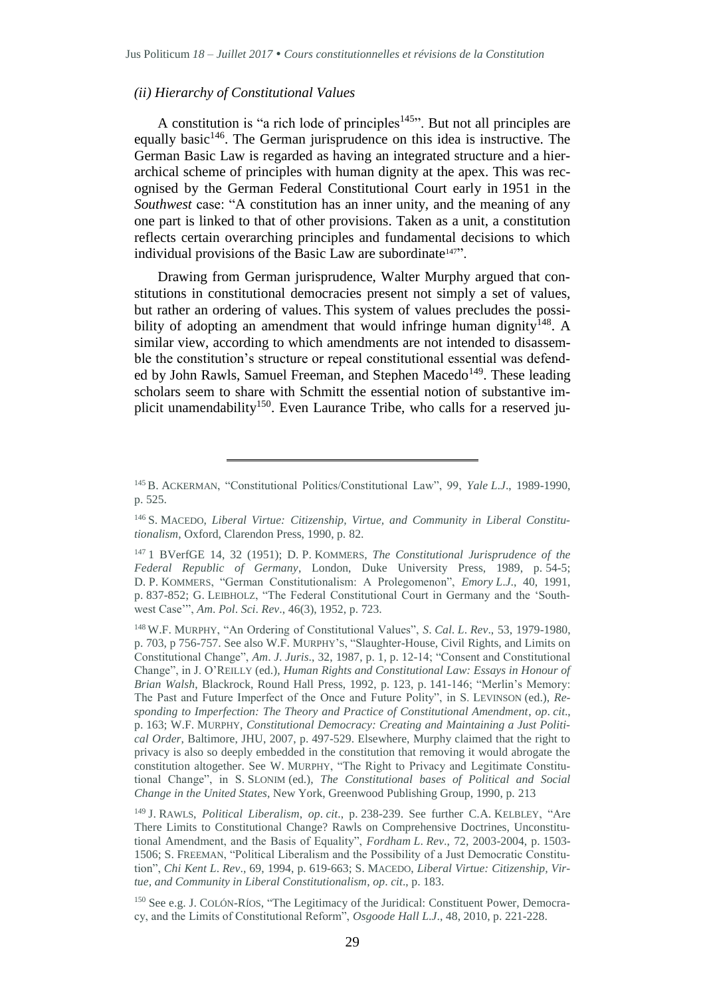### *(ii) Hierarchy of Constitutional Values*

A constitution is "a rich lode of principles<sup>145</sup>". But not all principles are equally basic<sup>146</sup>. The German jurisprudence on this idea is instructive. The German Basic Law is regarded as having an integrated structure and a hierarchical scheme of principles with human dignity at the apex. This was recognised by the German Federal Constitutional Court early in 1951 in the *Southwest* case: "A constitution has an inner unity, and the meaning of any one part is linked to that of other provisions. Taken as a unit, a constitution reflects certain overarching principles and fundamental decisions to which individual provisions of the Basic Law are subordinate<sup> $147"$ </sup>.

Drawing from German jurisprudence, Walter Murphy argued that constitutions in constitutional democracies present not simply a set of values, but rather an ordering of values. This system of values precludes the possibility of adopting an amendment that would infringe human dignity<sup>148</sup>. A similar view, according to which amendments are not intended to disassemble the constitution's structure or repeal constitutional essential was defended by John Rawls, Samuel Freeman, and Stephen Macedo<sup>149</sup>. These leading scholars seem to share with Schmitt the essential notion of substantive implicit unamendability<sup>150</sup>. Even Laurance Tribe, who calls for a reserved ju-

<sup>145</sup> B. ACKERMAN, "Constitutional Politics/Constitutional Law", 99, *Yale L*.*J*., 1989-1990, p. 525.

<sup>146</sup> S. MACEDO, *Liberal Virtue: Citizenship, Virtue, and Community in Liberal Constitutionalism*, Oxford, Clarendon Press, 1990, p. 82.

<sup>147</sup> 1 BVerfGE 14, 32 (1951); D. P. KOMMERS, *The Constitutional Jurisprudence of the Federal Republic of Germany*, London, Duke University Press, 1989, p. 54-5; D. P. KOMMERS, "German Constitutionalism: A Prolegomenon", *Emory L*.*J*., 40, 1991, p. 837-852; G. LEIBHOLZ, "The Federal Constitutional Court in Germany and the 'Southwest Case'", *Am*. *Pol*. *Sci*. *Rev*., 46(3), 1952, p. 723.

<sup>148</sup> W.F. MURPHY, "An Ordering of Constitutional Values", *S*. *Cal*. *L*. *Rev*., 53, 1979-1980, p. 703, p 756-757. See also W.F. MURPHY'S, "Slaughter-House, Civil Rights, and Limits on Constitutional Change", *Am*. *J*. *Juris*., 32, 1987, p. 1, p. 12-14; "Consent and Constitutional Change", in J. O'REILLY (ed.), *Human Rights and Constitutional Law: Essays in Honour of Brian Walsh*, Blackrock, Round Hall Press, 1992, p. 123, p. 141-146; "Merlin's Memory: The Past and Future Imperfect of the Once and Future Polity", in S. LEVINSON (ed.), *Responding to Imperfection: The Theory and Practice of Constitutional Amendment*, *op*. *cit*., p. 163; W.F. MURPHY, *Constitutional Democracy: Creating and Maintaining a Just Political Order*, Baltimore, JHU, 2007, p. 497-529. Elsewhere, Murphy claimed that the right to privacy is also so deeply embedded in the constitution that removing it would abrogate the constitution altogether. See W. MURPHY, "The Right to Privacy and Legitimate Constitutional Change", in S. SLONIM (ed.), *The Constitutional bases of Political and Social Change in the United States*, New York, Greenwood Publishing Group, 1990, p. 213

<sup>149</sup> J. RAWLS, *Political Liberalism*, *op*. *cit*., p. 238-239. See further C.A. KELBLEY, "Are There Limits to Constitutional Change? Rawls on Comprehensive Doctrines, Unconstitutional Amendment, and the Basis of Equality", *Fordham L*. *Rev*., 72, 2003-2004, p. 1503- 1506; S. FREEMAN, "Political Liberalism and the Possibility of a Just Democratic Constitution", *Chi Kent L*. *Rev*., 69, 1994, p. 619-663; S. MACEDO, *Liberal Virtue: Citizenship, Virtue, and Community in Liberal Constitutionalism*, *op*. *cit*., p. 183.

<sup>150</sup> See e.g. J. COLÓN-RÍOS, "The Legitimacy of the Juridical: Constituent Power, Democracy, and the Limits of Constitutional Reform", *Osgoode Hall L*.*J*., 48, 2010, p. 221-228.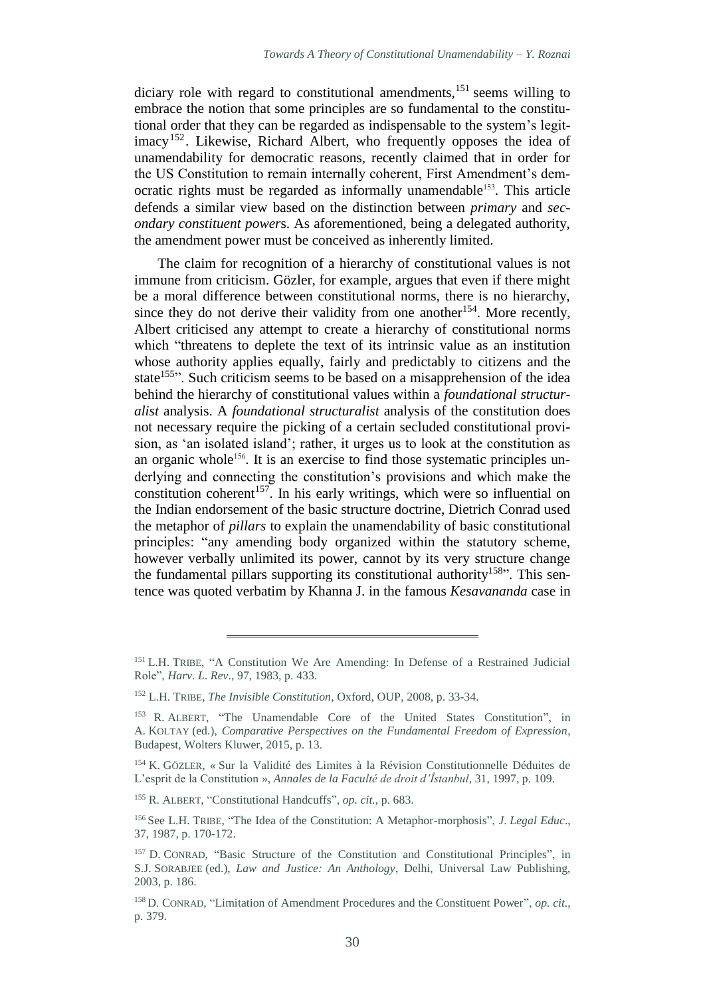diciary role with regard to constitutional amendments,  $151$  seems willing to embrace the notion that some principles are so fundamental to the constitutional order that they can be regarded as indispensable to the system's legitimacy<sup>152</sup>. Likewise, Richard Albert, who frequently opposes the idea of unamendability for democratic reasons, recently claimed that in order for the US Constitution to remain internally coherent, First Amendment's democratic rights must be regarded as informally unamendable<sup>153</sup>. This article defends a similar view based on the distinction between *primary* and *secondary constituent power*s. As aforementioned, being a delegated authority, the amendment power must be conceived as inherently limited.

The claim for recognition of a hierarchy of constitutional values is not immune from criticism. Gözler, for example, argues that even if there might be a moral difference between constitutional norms, there is no hierarchy, since they do not derive their validity from one another<sup>154</sup>. More recently, Albert criticised any attempt to create a hierarchy of constitutional norms which "threatens to deplete the text of its intrinsic value as an institution whose authority applies equally, fairly and predictably to citizens and the state<sup>155</sup>". Such criticism seems to be based on a misapprehension of the idea behind the hierarchy of constitutional values within a *foundational structuralist* analysis. A *foundational structuralist* analysis of the constitution does not necessary require the picking of a certain secluded constitutional provision, as 'an isolated island'; rather, it urges us to look at the constitution as an organic whole<sup>156</sup>. It is an exercise to find those systematic principles underlying and connecting the constitution's provisions and which make the constitution coherent<sup>157</sup>. In his early writings, which were so influential on the Indian endorsement of the basic structure doctrine, Dietrich Conrad used the metaphor of *pillars* to explain the unamendability of basic constitutional principles: "any amending body organized within the statutory scheme, however verbally unlimited its power, cannot by its very structure change the fundamental pillars supporting its constitutional authority<sup>158</sup><sup>35</sup>. This sentence was quoted verbatim by Khanna J. in the famous *Kesavananda* case in

<sup>151</sup> L.H. TRIBE, "A Constitution We Are Amending: In Defense of a Restrained Judicial Role", *Harv*. *L*. *Rev*., 97, 1983, p. 433.

<sup>152</sup> L.H. TRIBE, *The Invisible Constitution*, Oxford, OUP, 2008, p. 33-34.

<sup>153</sup> R. ALBERT, "The Unamendable Core of the United States Constitution", in A. KOLTAY (ed.), *Comparative Perspectives on the Fundamental Freedom of Expression*, Budapest, Wolters Kluwer, 2015, p. 13.

<sup>154</sup> K. GÖZLER, « Sur la Validité des Limites à la Révision Constitutionnelle Déduites de L'esprit de la Constitution », *Annales de la Faculté de droit d'İstanbul*, 31, 1997, p. 109.

<sup>155</sup> R. ALBERT, "Constitutional Handcuffs", *op. cit.*, p. 683.

<sup>156</sup> See L.H. TRIBE, "The Idea of the Constitution: A Metaphor-morphosis", *J*. *Legal Educ*., 37, 1987, p. 170-172.

<sup>157</sup> D. CONRAD, "Basic Structure of the Constitution and Constitutional Principles", in S.J. SORABJEE (ed.), *Law and Justice: An Anthology*, Delhi, Universal Law Publishing, 2003, p. 186.

<sup>158</sup> D. CONRAD, "Limitation of Amendment Procedures and the Constituent Power", *op. cit.*, p. 379.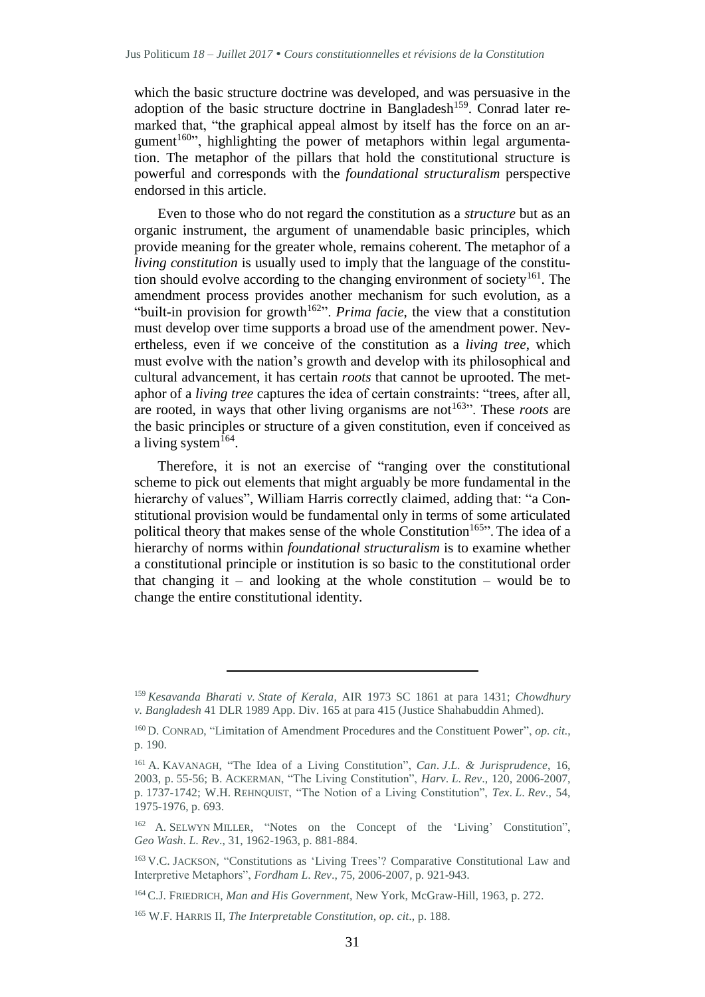which the basic structure doctrine was developed, and was persuasive in the adoption of the basic structure doctrine in Bangladesh<sup>159</sup>. Conrad later remarked that, "the graphical appeal almost by itself has the force on an argument<sup>160</sup>", highlighting the power of metaphors within legal argumentation. The metaphor of the pillars that hold the constitutional structure is powerful and corresponds with the *foundational structuralism* perspective endorsed in this article.

Even to those who do not regard the constitution as a *structure* but as an organic instrument, the argument of unamendable basic principles, which provide meaning for the greater whole, remains coherent. The metaphor of a *living constitution* is usually used to imply that the language of the constitution should evolve according to the changing environment of society<sup>161</sup>. The amendment process provides another mechanism for such evolution, as a "built-in provision for growth<sup>162</sup>". *Prima facie*, the view that a constitution must develop over time supports a broad use of the amendment power. Nevertheless, even if we conceive of the constitution as a *living tree*, which must evolve with the nation's growth and develop with its philosophical and cultural advancement, it has certain *roots* that cannot be uprooted. The metaphor of a *living tree* captures the idea of certain constraints: "trees, after all, are rooted, in ways that other living organisms are not<sup>163</sup>". These *roots* are the basic principles or structure of a given constitution, even if conceived as a living system $164$ .

Therefore, it is not an exercise of "ranging over the constitutional scheme to pick out elements that might arguably be more fundamental in the hierarchy of values", William Harris correctly claimed, adding that: "a Constitutional provision would be fundamental only in terms of some articulated political theory that makes sense of the whole Constitution<sup>165</sup>". The idea of a hierarchy of norms within *foundational structuralism* is to examine whether a constitutional principle or institution is so basic to the constitutional order that changing it – and looking at the whole constitution – would be to change the entire constitutional identity.

<sup>159</sup> *Kesavanda Bharati v. State of Kerala*, AIR 1973 SC 1861 at para 1431; *Chowdhury v. Bangladesh* 41 DLR 1989 App. Div. 165 at para 415 (Justice Shahabuddin Ahmed).

<sup>160</sup> D. CONRAD, "Limitation of Amendment Procedures and the Constituent Power", *op. cit.*, p. 190.

<sup>161</sup> A. KAVANAGH, "The Idea of a Living Constitution", *Can*. *J*.*L*. *& Jurisprudence*, 16, 2003, p. 55-56; B. ACKERMAN, "The Living Constitution", *Harv*. *L*. *Rev*., 120, 2006-2007, p. 1737-1742; W.H. REHNQUIST, "The Notion of a Living Constitution", *Tex*. *L*. *Rev*., 54, 1975-1976, p. 693.

<sup>162</sup> A. SELWYN MILLER, "Notes on the Concept of the 'Living' Constitution", *Geo Wash*. *L*. *Rev*., 31, 1962-1963, p. 881-884.

<sup>163</sup> V.C. JACKSON, "Constitutions as 'Living Trees'? Comparative Constitutional Law and Interpretive Metaphors", *Fordham L*. *Rev*., 75, 2006-2007, p. 921-943.

<sup>164</sup> C.J. FRIEDRICH, *Man and His Government*, New York, McGraw-Hill, 1963, p. 272.

<sup>165</sup> W.F. HARRIS II, *The Interpretable Constitution*, *op*. *cit*., p. 188.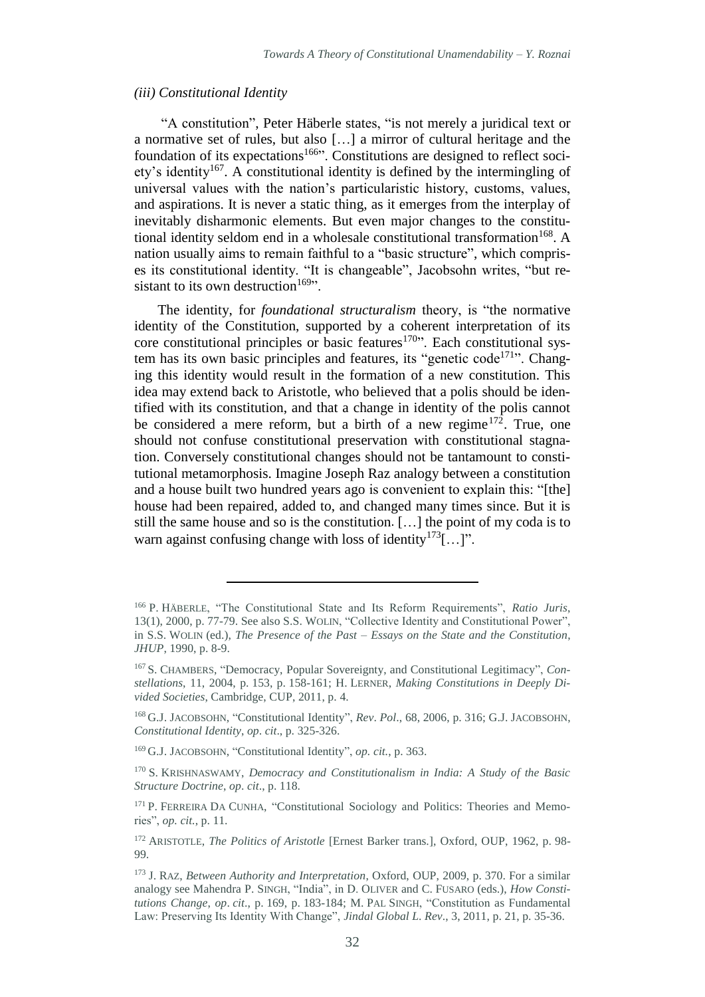#### *(iii) Constitutional Identity*

"A constitution", Peter Häberle states, "is not merely a juridical text or a normative set of rules, but also […] a mirror of cultural heritage and the foundation of its expectations<sup>166</sup><sup>166</sup>. Constitutions are designed to reflect society's identity<sup>167</sup>. A constitutional identity is defined by the intermingling of universal values with the nation's particularistic history, customs, values, and aspirations. It is never a static thing, as it emerges from the interplay of inevitably disharmonic elements. But even major changes to the constitutional identity seldom end in a wholesale constitutional transformation<sup>168</sup>. A nation usually aims to remain faithful to a "basic structure", which comprises its constitutional identity. "It is changeable", Jacobsohn writes, "but resistant to its own destruction<sup>169</sup>".

The identity, for *foundational structuralism* theory, is "the normative identity of the Constitution, supported by a coherent interpretation of its core constitutional principles or basic features<sup>170</sup>. Each constitutional system has its own basic principles and features, its "genetic code<sup>171</sup>". Changing this identity would result in the formation of a new constitution. This idea may extend back to Aristotle, who believed that a polis should be identified with its constitution, and that a change in identity of the polis cannot be considered a mere reform, but a birth of a new regime<sup>172</sup>. True, one should not confuse constitutional preservation with constitutional stagnation. Conversely constitutional changes should not be tantamount to constitutional metamorphosis. Imagine Joseph Raz analogy between a constitution and a house built two hundred years ago is convenient to explain this: "[the] house had been repaired, added to, and changed many times since. But it is still the same house and so is the constitution. […] the point of my coda is to warn against confusing change with loss of identity<sup>173</sup>[…]".

<sup>166</sup> P. HÄBERLE, "The Constitutional State and Its Reform Requirements", *Ratio Juris*, 13(1), 2000, p. 77-79. See also S.S. WOLIN, "Collective Identity and Constitutional Power", in S.S. WOLIN (ed.), *The Presence of the Past – Essays on the State and the Constitution*, *JHUP*, 1990, p. 8-9.

<sup>167</sup> S. CHAMBERS, "Democracy, Popular Sovereignty, and Constitutional Legitimacy", *Constellations*, 11, 2004, p. 153, p. 158-161; H. LERNER, *Making Constitutions in Deeply Divided Societies*, Cambridge, CUP, 2011, p. 4.

<sup>168</sup> G.J. JACOBSOHN, "Constitutional Identity", *Rev*. *Pol*., 68, 2006, p. 316; G.J. JACOBSOHN, *Constitutional Identity*, *op*. *cit*., p. 325-326.

<sup>169</sup> G.J. JACOBSOHN, "Constitutional Identity", *op. cit.*, p. 363.

<sup>170</sup> S. KRISHNASWAMY, *Democracy and Constitutionalism in India: A Study of the Basic Structure Doctrine*, *op*. *cit*., p. 118.

<sup>171</sup> P. FERREIRA DA CUNHA, "Constitutional Sociology and Politics: Theories and Memories", *op. cit.*, p. 11.

<sup>172</sup> ARISTOTLE, *The Politics of Aristotle* [Ernest Barker trans.], Oxford, OUP, 1962, p. 98- 99.

<sup>173</sup> J. RAZ, *Between Authority and Interpretation*, Oxford, OUP, 2009, p. 370. For a similar analogy see Mahendra P. SINGH, "India", in D. OLIVER and C. FUSARO (eds.), *How Constitutions Change*, *op*. *cit*., p. 169, p. 183-184; M. PAL SINGH, "Constitution as Fundamental Law: Preserving Its Identity With Change", *Jindal Global L*. *Rev*., 3, 2011, p. 21, p. 35-36.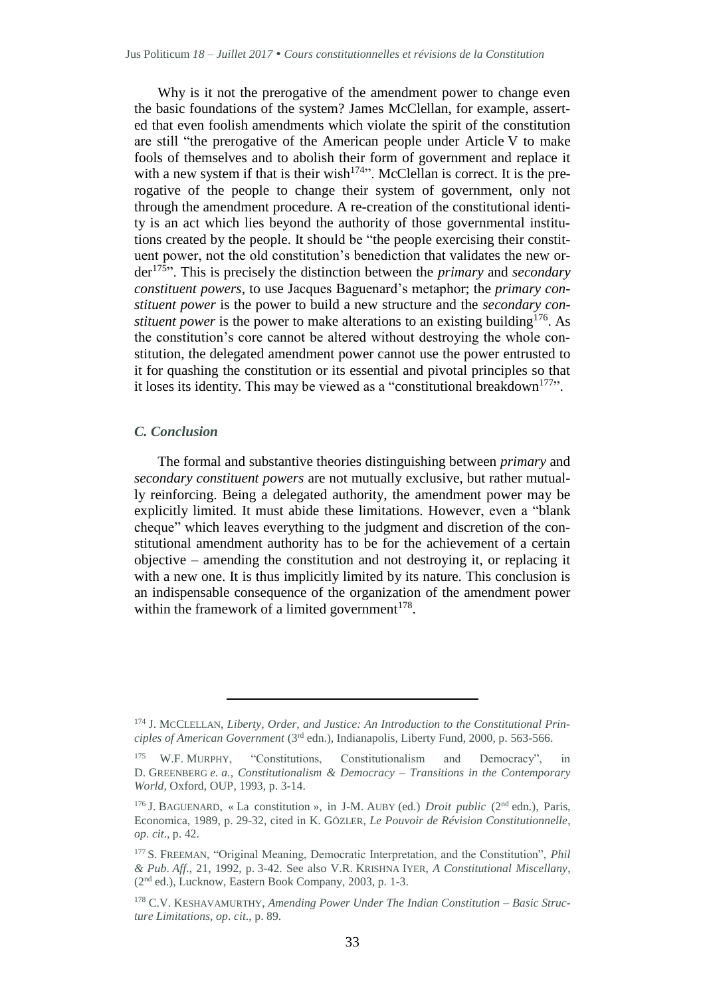Why is it not the prerogative of the amendment power to change even the basic foundations of the system? James McClellan, for example, asserted that even foolish amendments which violate the spirit of the constitution are still "the prerogative of the American people under Article V to make fools of themselves and to abolish their form of government and replace it with a new system if that is their wish<sup>174</sup>". McClellan is correct. It is the prerogative of the people to change their system of government, only not through the amendment procedure. A re-creation of the constitutional identity is an act which lies beyond the authority of those governmental institutions created by the people. It should be "the people exercising their constituent power, not the old constitution's benediction that validates the new order<sup>175</sup>". This is precisely the distinction between the *primary* and *secondary constituent powers*, to use Jacques Baguenard's metaphor; the *primary constituent power* is the power to build a new structure and the *secondary constituent power* is the power to make alterations to an existing building<sup>176</sup>. As the constitution's core cannot be altered without destroying the whole constitution, the delegated amendment power cannot use the power entrusted to it for quashing the constitution or its essential and pivotal principles so that it loses its identity. This may be viewed as a "constitutional breakdown<sup>177</sup>".

### *C. Conclusion*

The formal and substantive theories distinguishing between *primary* and *secondary constituent powers* are not mutually exclusive, but rather mutually reinforcing. Being a delegated authority, the amendment power may be explicitly limited. It must abide these limitations. However, even a "blank cheque" which leaves everything to the judgment and discretion of the constitutional amendment authority has to be for the achievement of a certain objective – amending the constitution and not destroying it, or replacing it with a new one. It is thus implicitly limited by its nature. This conclusion is an indispensable consequence of the organization of the amendment power within the framework of a limited government $178$ .

<sup>174</sup> J. MCCLELLAN, *Liberty, Order, and Justice: An Introduction to the Constitutional Principles of American Government* (3rd edn.), Indianapolis, Liberty Fund, 2000, p. 563-566.

W.F. MURPHY, "Constitutions, Constitutionalism and Democracy", in D. GREENBERG *e. a.*, *Constitutionalism & Democracy – Transitions in the Contemporary World*, Oxford, OUP, 1993, p. 3-14.

<sup>176</sup> J. BAGUENARD, « La constitution », in J-M. AUBY (ed.) *Droit public* (2nd edn.), Paris, Economica, 1989, p. 29-32, cited in K. GÖZLER, *Le Pouvoir de Révision Constitutionnelle*, *op*. *cit*., p. 42.

<sup>177</sup> S. FREEMAN, "Original Meaning, Democratic Interpretation, and the Constitution", *Phil & Pub*. *Aff*., 21, 1992, p. 3-42. See also V.R. KRISHNA IYER, *A Constitutional Miscellany*, (2nd ed.), Lucknow, Eastern Book Company, 2003, p. 1-3.

<sup>178</sup> C.V. KESHAVAMURTHY, *Amending Power Under The Indian Constitution – Basic Structure Limitations*, *op*. *cit*., p. 89.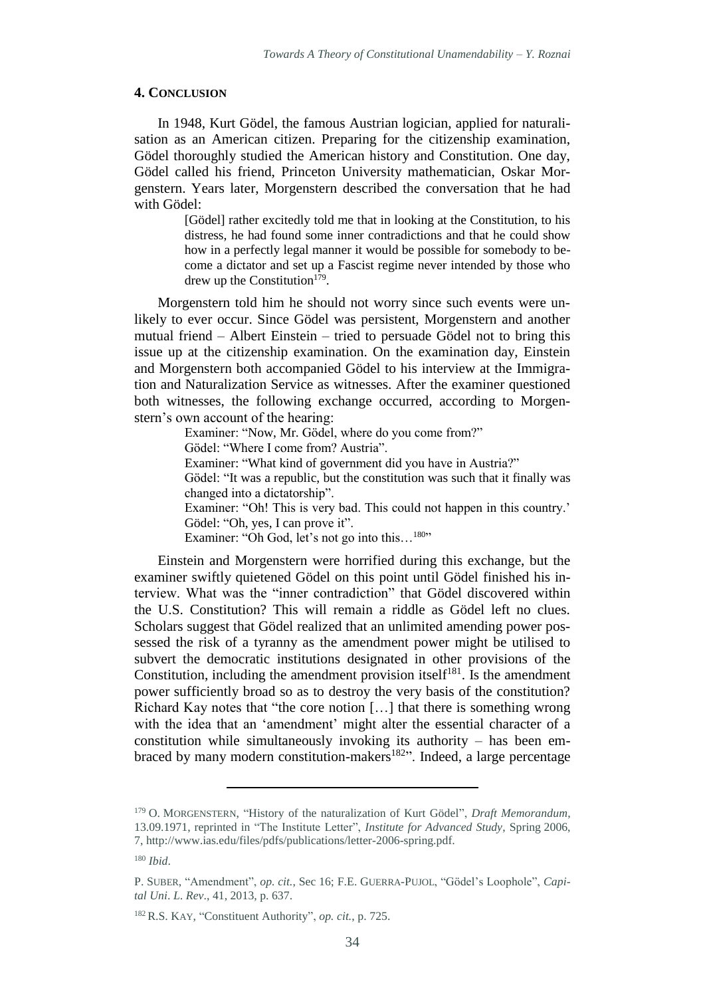#### **4. CONCLUSION**

In 1948, Kurt Gödel, the famous Austrian logician, applied for naturalisation as an American citizen. Preparing for the citizenship examination, Gödel thoroughly studied the American history and Constitution. One day, Gödel called his friend, Princeton University mathematician, Oskar Morgenstern. Years later, Morgenstern described the conversation that he had with Gödel:

> [Gödel] rather excitedly told me that in looking at the Constitution, to his distress, he had found some inner contradictions and that he could show how in a perfectly legal manner it would be possible for somebody to become a dictator and set up a Fascist regime never intended by those who drew up the Constitution<sup>179</sup>.

Morgenstern told him he should not worry since such events were unlikely to ever occur. Since Gödel was persistent, Morgenstern and another mutual friend – Albert Einstein – tried to persuade Gödel not to bring this issue up at the citizenship examination. On the examination day, Einstein and Morgenstern both accompanied Gödel to his interview at the Immigration and Naturalization Service as witnesses. After the examiner questioned both witnesses, the following exchange occurred, according to Morgenstern's own account of the hearing:

> Examiner: "Now, Mr. Gödel, where do you come from?" Gödel: "Where I come from? Austria". Examiner: "What kind of government did you have in Austria?" Gödel: "It was a republic, but the constitution was such that it finally was changed into a dictatorship". Examiner: "Oh! This is very bad. This could not happen in this country.' Gödel: "Oh, yes, I can prove it". Examiner: "Oh God, let's not go into this...<sup>180</sup>"

Einstein and Morgenstern were horrified during this exchange, but the examiner swiftly quietened Gödel on this point until Gödel finished his interview. What was the "inner contradiction" that Gödel discovered within the U.S. Constitution? This will remain a riddle as Gödel left no clues. Scholars suggest that Gödel realized that an unlimited amending power possessed the risk of a tyranny as the amendment power might be utilised to subvert the democratic institutions designated in other provisions of the Constitution, including the amendment provision itself<sup>181</sup>. Is the amendment power sufficiently broad so as to destroy the very basis of the constitution? Richard Kay notes that "the core notion […] that there is something wrong with the idea that an 'amendment' might alter the essential character of a constitution while simultaneously invoking its authority – has been embraced by many modern constitution-makers<sup>182</sup>". Indeed, a large percentage

<sup>179</sup> O. MORGENSTERN, "History of the naturalization of Kurt Gödel", *Draft Memorandum*, 13.09.1971, reprinted in "The Institute Letter", *Institute for Advanced Study*, Spring 2006, 7, http://www.ias.edu/files/pdfs/publications/letter-2006-spring.pdf.

<sup>180</sup> *Ibid*.

P. SUBER, "Amendment", *op. cit.*, Sec 16; F.E. GUERRA-PUJOL, "Gödel's Loophole", *Capital Uni*. *L*. *Rev*., 41, 2013, p. 637.

<sup>182</sup> R.S. KAY, "Constituent Authority", *op. cit.*, p. 725.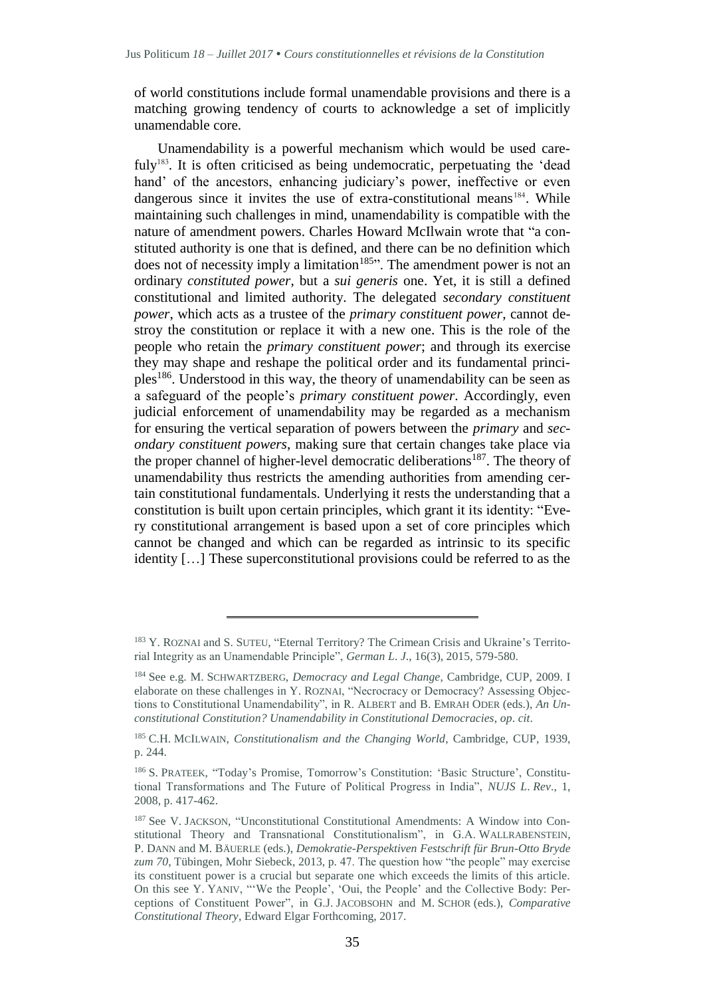of world constitutions include formal unamendable provisions and there is a matching growing tendency of courts to acknowledge a set of implicitly unamendable core.

Unamendability is a powerful mechanism which would be used carefuly<sup>183</sup>. It is often criticised as being undemocratic, perpetuating the 'dead hand' of the ancestors, enhancing judiciary's power, ineffective or even dangerous since it invites the use of extra-constitutional means<sup>184</sup>. While maintaining such challenges in mind, unamendability is compatible with the nature of amendment powers. Charles Howard McIlwain wrote that "a constituted authority is one that is defined, and there can be no definition which does not of necessity imply a limitation<sup>185</sup>". The amendment power is not an ordinary *constituted power*, but a *sui generis* one. Yet, it is still a defined constitutional and limited authority. The delegated *secondary constituent power*, which acts as a trustee of the *primary constituent power*, cannot destroy the constitution or replace it with a new one. This is the role of the people who retain the *primary constituent power*; and through its exercise they may shape and reshape the political order and its fundamental principles<sup>186</sup>. Understood in this way, the theory of unamendability can be seen as a safeguard of the people's *primary constituent power*. Accordingly, even judicial enforcement of unamendability may be regarded as a mechanism for ensuring the vertical separation of powers between the *primary* and *secondary constituent powers*, making sure that certain changes take place via the proper channel of higher-level democratic deliberations<sup>187</sup>. The theory of unamendability thus restricts the amending authorities from amending certain constitutional fundamentals. Underlying it rests the understanding that a constitution is built upon certain principles, which grant it its identity: "Every constitutional arrangement is based upon a set of core principles which cannot be changed and which can be regarded as intrinsic to its specific identity […] These superconstitutional provisions could be referred to as the

<sup>&</sup>lt;sup>183</sup> Y. ROZNAI and S. SUTEU, "Eternal Territory? The Crimean Crisis and Ukraine's Territorial Integrity as an Unamendable Principle", *German L*. *J*., 16(3), 2015, 579-580.

<sup>184</sup> See e.g. M. SCHWARTZBERG, *Democracy and Legal Change*, Cambridge, CUP, 2009. I elaborate on these challenges in Y. ROZNAI, "Necrocracy or Democracy? Assessing Objections to Constitutional Unamendability", in R. ALBERT and B. EMRAH ODER (eds.), *An Unconstitutional Constitution? Unamendability in Constitutional Democracies*, *op*. *cit*.

<sup>185</sup> C.H. MCILWAIN, *Constitutionalism and the Changing World*, Cambridge, CUP, 1939, p. 244.

<sup>186</sup> S. PRATEEK, "Today's Promise, Tomorrow's Constitution: 'Basic Structure', Constitutional Transformations and The Future of Political Progress in India", *NUJS L*. *Rev*., 1, 2008, p. 417-462.

<sup>187</sup> See V. JACKSON, "Unconstitutional Constitutional Amendments: A Window into Constitutional Theory and Transnational Constitutionalism", in G.A. WALLRABENSTEIN, P. DANN and M. BÄUERLE (eds.), *Demokratie-Perspektiven Festschrift für Brun-Otto Bryde zum 70*, Tübingen, Mohr Siebeck, 2013, p. 47. The question how "the people" may exercise its constituent power is a crucial but separate one which exceeds the limits of this article. On this see Y. YANIV, "'We the People', 'Oui, the People' and the Collective Body: Perceptions of Constituent Power", in G.J. JACOBSOHN and M. SCHOR (eds.), *Comparative Constitutional Theory*, Edward Elgar Forthcoming, 2017.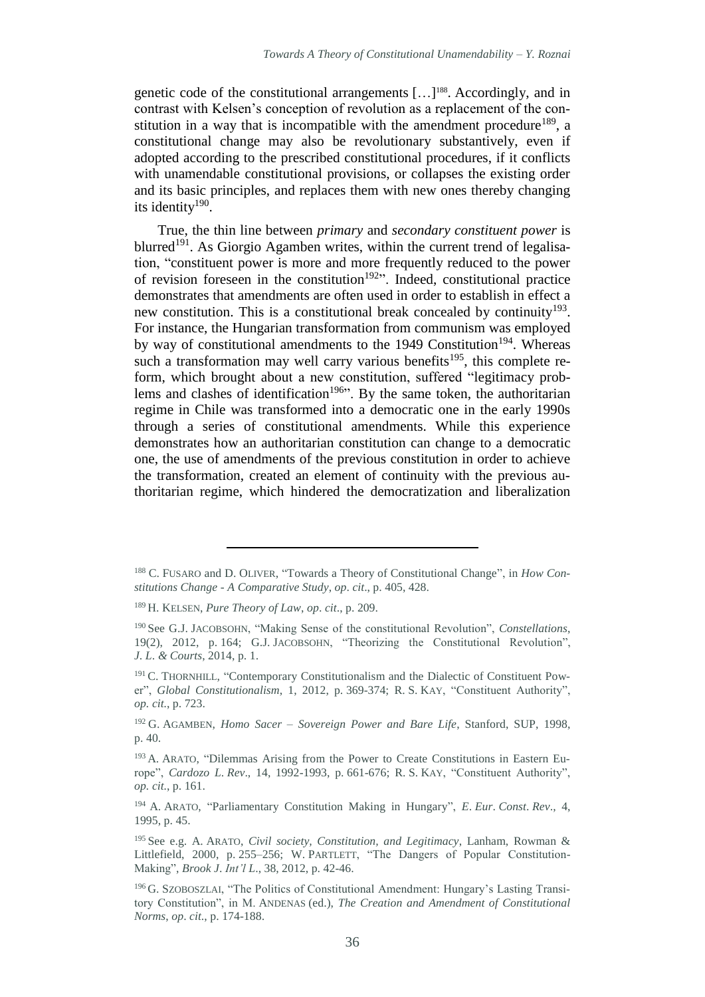genetic code of the constitutional arrangements [...]<sup>188</sup>. Accordingly, and in contrast with Kelsen's conception of revolution as a replacement of the constitution in a way that is incompatible with the amendment procedure<sup>189</sup>, a constitutional change may also be revolutionary substantively, even if adopted according to the prescribed constitutional procedures, if it conflicts with unamendable constitutional provisions, or collapses the existing order and its basic principles, and replaces them with new ones thereby changing its identity<sup>190</sup>.

True, the thin line between *primary* and *secondary constituent power* is blurred<sup>191</sup>. As Giorgio Agamben writes, within the current trend of legalisation, "constituent power is more and more frequently reduced to the power of revision foreseen in the constitution<sup>192</sup>". Indeed, constitutional practice demonstrates that amendments are often used in order to establish in effect a new constitution. This is a constitutional break concealed by continuity<sup>193</sup>. For instance, the Hungarian transformation from communism was employed by way of constitutional amendments to the 1949 Constitution<sup>194</sup>. Whereas such a transformation may well carry various benefits<sup>195</sup>, this complete reform, which brought about a new constitution, suffered "legitimacy problems and clashes of identification<sup>196</sup><sup>3</sup>. By the same token, the authoritarian regime in Chile was transformed into a democratic one in the early 1990s through a series of constitutional amendments. While this experience demonstrates how an authoritarian constitution can change to a democratic one, the use of amendments of the previous constitution in order to achieve the transformation, created an element of continuity with the previous authoritarian regime, which hindered the democratization and liberalization

<sup>188</sup> C. FUSARO and D. OLIVER, "Towards a Theory of Constitutional Change", in *How Constitutions Change - A Comparative Study*, *op*. *cit*., p. 405, 428.

<sup>189</sup> H. KELSEN, *Pure Theory of Law*, *op*. *cit*., p. 209.

<sup>190</sup> See G.J. JACOBSOHN, "Making Sense of the constitutional Revolution", *Constellations*, 19(2), 2012, p. 164; G.J. JACOBSOHN, "Theorizing the Constitutional Revolution", *J*. *L*. *& Courts*, 2014, p. 1.

<sup>&</sup>lt;sup>191</sup> C. THORNHILL, "Contemporary Constitutionalism and the Dialectic of Constituent Power", *Global Constitutionalism*, 1, 2012, p. 369-374; R. S. KAY, "Constituent Authority", *op. cit.*, p. 723.

<sup>192</sup> G. AGAMBEN, *Homo Sacer – Sovereign Power and Bare Life*, Stanford, SUP, 1998, p. 40.

<sup>193</sup> A. ARATO, "Dilemmas Arising from the Power to Create Constitutions in Eastern Europe", *Cardozo L*. *Rev*., 14, 1992-1993, p. 661-676; R. S. KAY, "Constituent Authority", *op. cit.*, p. 161.

<sup>194</sup> A. ARATO, "Parliamentary Constitution Making in Hungary", *E*. *Eur*. *Const*. *Rev*., 4, 1995, p. 45.

<sup>195</sup> See e.g. A. ARATO, *Civil society, Constitution, and Legitimacy*, Lanham, Rowman & Littlefield, 2000, p. 255–256; W. PARTLETT, "The Dangers of Popular Constitution-Making", *Brook J*. *Int'l L*., 38, 2012, p. 42-46.

<sup>196</sup> G. SZOBOSZLAI, "The Politics of Constitutional Amendment: Hungary's Lasting Transitory Constitution", in M. ANDENAS (ed.), *The Creation and Amendment of Constitutional Norms*, *op*. *cit*., p. 174-188.